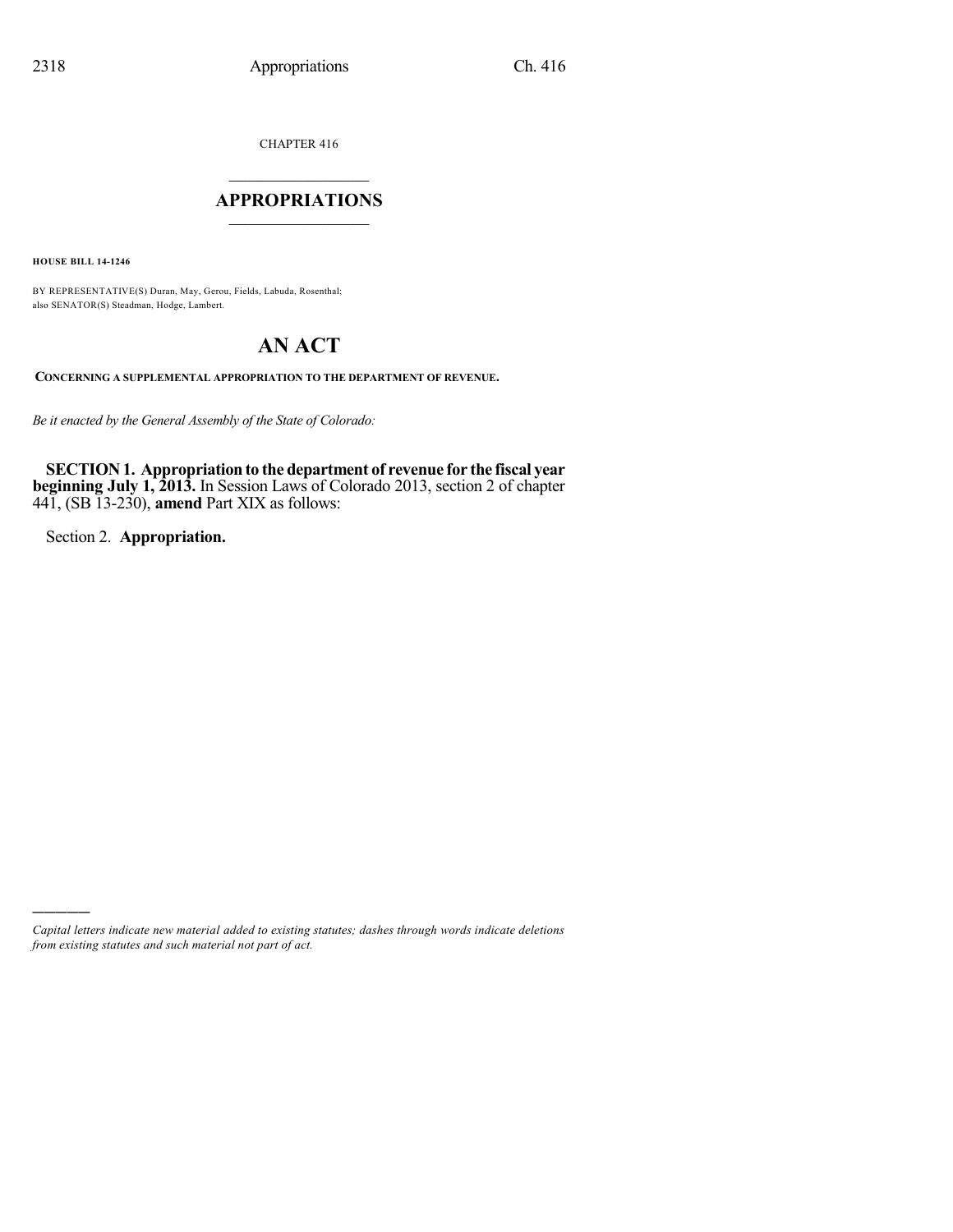CHAPTER 416

## $\overline{\phantom{a}}$  . The set of the set of the set of the set of the set of the set of the set of the set of the set of the set of the set of the set of the set of the set of the set of the set of the set of the set of the set o **APPROPRIATIONS**  $\_$   $\_$   $\_$   $\_$   $\_$   $\_$   $\_$   $\_$

**HOUSE BILL 14-1246**

BY REPRESENTATIVE(S) Duran, May, Gerou, Fields, Labuda, Rosenthal; also SENATOR(S) Steadman, Hodge, Lambert.

# **AN ACT**

**CONCERNING A SUPPLEMENTAL APPROPRIATION TO THE DEPARTMENT OF REVENUE.**

*Be it enacted by the General Assembly of the State of Colorado:*

**SECTION1. Appropriationto the department of revenue for the fiscal year beginning July 1, 2013.** In Session Laws of Colorado 2013, section 2 of chapter 441, (SB 13-230), **amend** Part XIX as follows:

Section 2. **Appropriation.**

)))))

*Capital letters indicate new material added to existing statutes; dashes through words indicate deletions from existing statutes and such material not part of act.*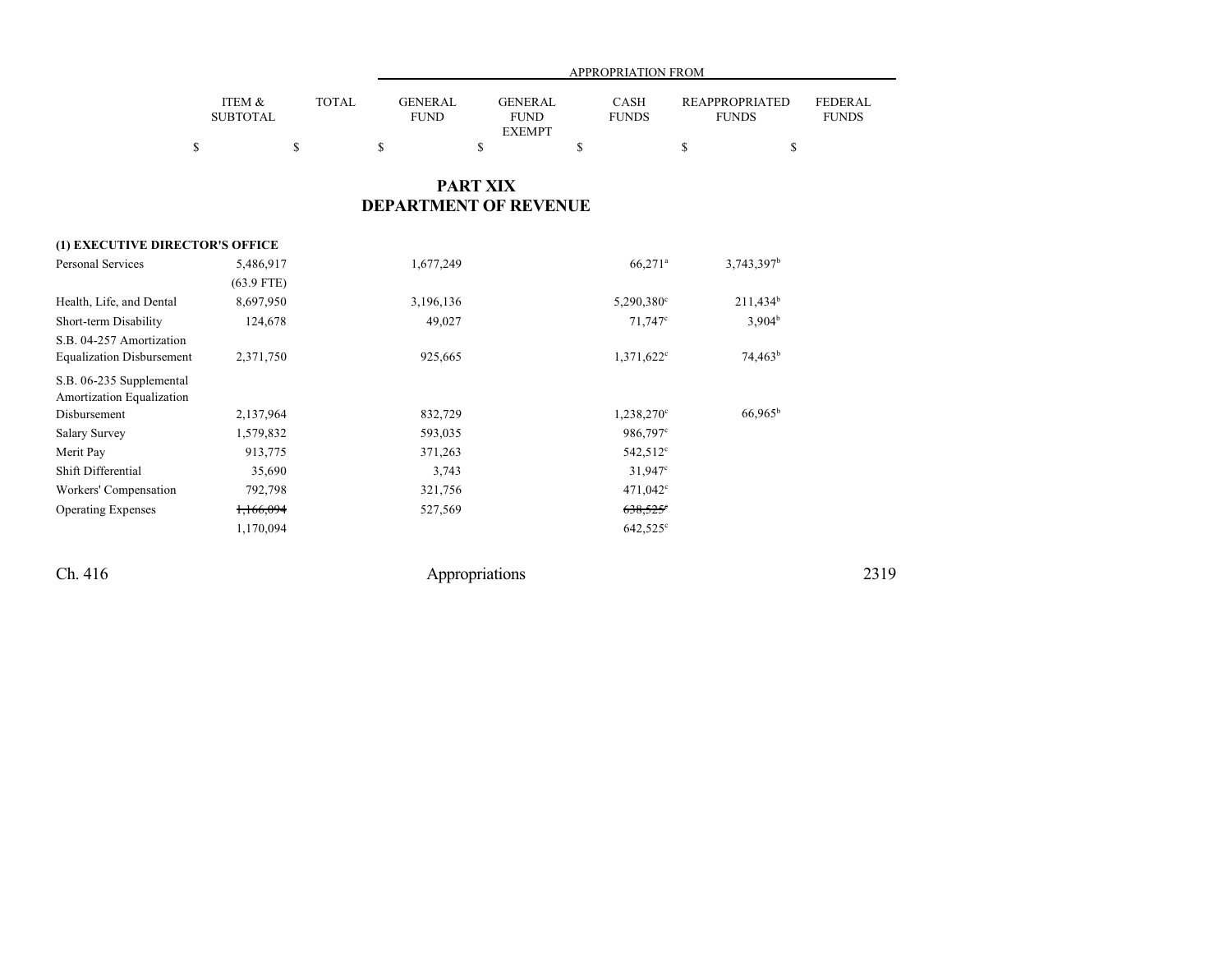|                           |       | APPROPRIATION FROM     |                                                |                      |                                       |                         |  |  |  |
|---------------------------|-------|------------------------|------------------------------------------------|----------------------|---------------------------------------|-------------------------|--|--|--|
| ITEM &<br><b>SUBTOTAL</b> | TOTAL | GENERAL<br><b>FUND</b> | <b>GENERAL</b><br><b>FUND</b><br><b>EXEMPT</b> | CASH<br><b>FUNDS</b> | <b>REAPPROPRIATED</b><br><b>FUNDS</b> | FEDERAL<br><b>FUNDS</b> |  |  |  |
|                           |       |                        |                                                |                      |                                       |                         |  |  |  |
|                           |       |                        |                                                |                      |                                       |                         |  |  |  |

## **PART XIX DEPARTMENT OF REVENUE**

| (1) EXECUTIVE DIRECTOR'S OFFICE  |              |           |                       |                    |  |  |  |  |  |  |
|----------------------------------|--------------|-----------|-----------------------|--------------------|--|--|--|--|--|--|
| <b>Personal Services</b>         | 5,486,917    | 1,677,249 | $66,271$ <sup>a</sup> | $3,743,397^b$      |  |  |  |  |  |  |
|                                  | $(63.9$ FTE) |           |                       |                    |  |  |  |  |  |  |
| Health, Life, and Dental         | 8,697,950    | 3,196,136 | $5,290,380^{\circ}$   | $211,434^b$        |  |  |  |  |  |  |
| Short-term Disability            | 124,678      | 49,027    | $71,747$ °            | 3.904 <sup>b</sup> |  |  |  |  |  |  |
| S.B. 04-257 Amortization         |              |           |                       |                    |  |  |  |  |  |  |
| <b>Equalization Disbursement</b> | 2,371,750    | 925,665   | $1,371,622^{\circ}$   | $74,463^b$         |  |  |  |  |  |  |
| S.B. 06-235 Supplemental         |              |           |                       |                    |  |  |  |  |  |  |
| Amortization Equalization        |              |           |                       |                    |  |  |  |  |  |  |
| Disbursement                     | 2,137,964    | 832,729   | $1,238,270^{\circ}$   | $66,965^b$         |  |  |  |  |  |  |
| <b>Salary Survey</b>             | 1,579,832    | 593,035   | 986,797 <sup>c</sup>  |                    |  |  |  |  |  |  |
| Merit Pay                        | 913,775      | 371,263   | 542,512 <sup>c</sup>  |                    |  |  |  |  |  |  |
| Shift Differential               | 35,690       | 3,743     | $31,947^{\circ}$      |                    |  |  |  |  |  |  |
| Workers' Compensation            | 792,798      | 321,756   | $471,042^{\circ}$     |                    |  |  |  |  |  |  |
| <b>Operating Expenses</b>        | 1,166,094    | 527,569   | $638,525^{\circ}$     |                    |  |  |  |  |  |  |
|                                  | 1,170,094    |           | $642,525^{\circ}$     |                    |  |  |  |  |  |  |
|                                  |              |           |                       |                    |  |  |  |  |  |  |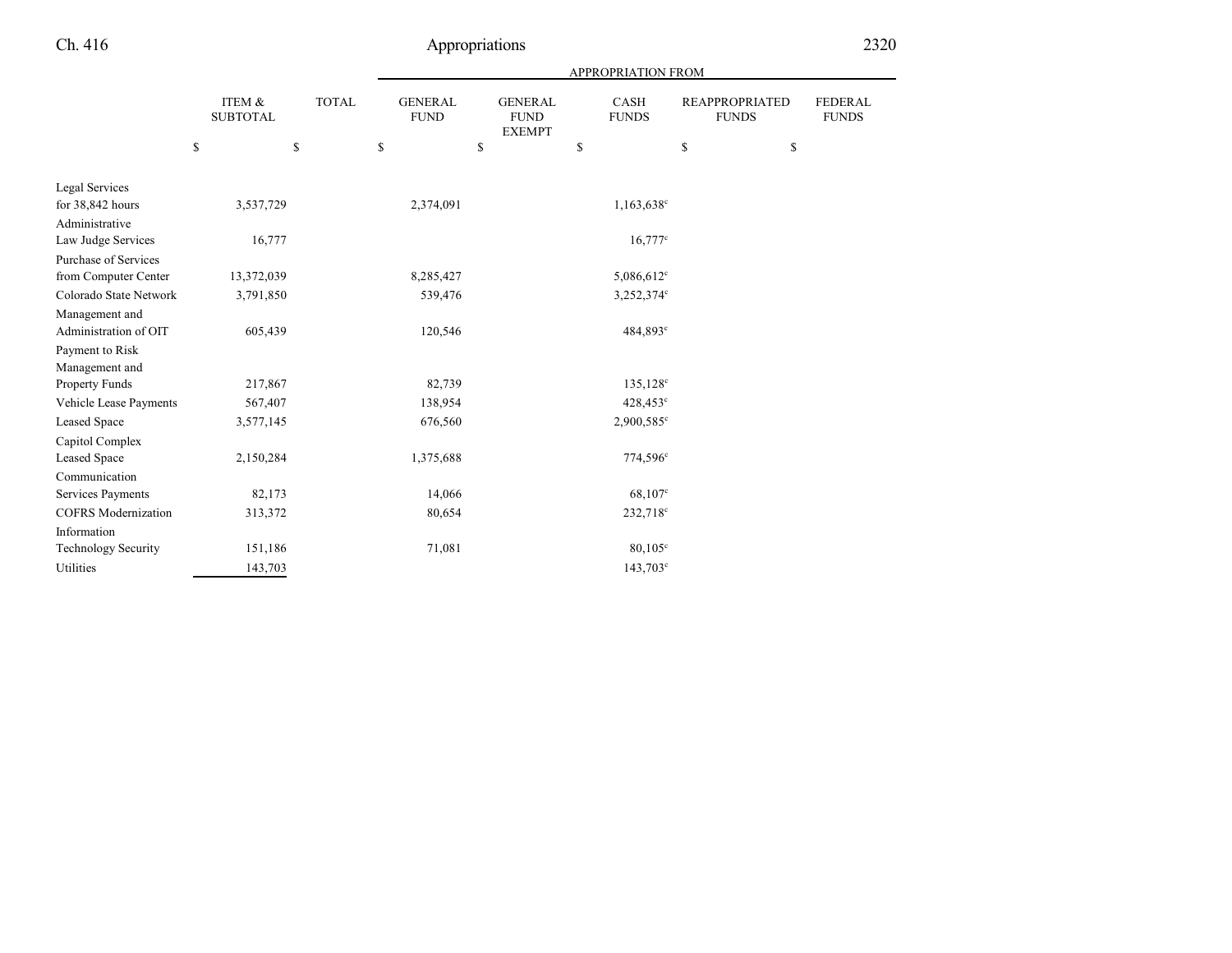|                            |                           |              |              |    | APPROPRIATION FROM            |    |                                                |    |                             |             |                                       |    |                                |  |  |
|----------------------------|---------------------------|--------------|--------------|----|-------------------------------|----|------------------------------------------------|----|-----------------------------|-------------|---------------------------------------|----|--------------------------------|--|--|
|                            | ITEM &<br><b>SUBTOTAL</b> |              | <b>TOTAL</b> |    | <b>GENERAL</b><br><b>FUND</b> |    | <b>GENERAL</b><br><b>FUND</b><br><b>EXEMPT</b> |    | <b>CASH</b><br><b>FUNDS</b> |             | <b>REAPPROPRIATED</b><br><b>FUNDS</b> |    | <b>FEDERAL</b><br><b>FUNDS</b> |  |  |
|                            | \$                        | $\mathbb{S}$ |              | \$ |                               | \$ |                                                | \$ |                             | $\mathbf S$ |                                       | \$ |                                |  |  |
| Legal Services             |                           |              |              |    |                               |    |                                                |    |                             |             |                                       |    |                                |  |  |
| for 38,842 hours           |                           | 3,537,729    |              |    | 2,374,091                     |    |                                                |    | 1,163,638 <sup>c</sup>      |             |                                       |    |                                |  |  |
| Administrative             |                           |              |              |    |                               |    |                                                |    |                             |             |                                       |    |                                |  |  |
| Law Judge Services         |                           | 16,777       |              |    |                               |    |                                                |    | $16,777^c$                  |             |                                       |    |                                |  |  |
| Purchase of Services       |                           |              |              |    |                               |    |                                                |    |                             |             |                                       |    |                                |  |  |
| from Computer Center       |                           | 13,372,039   |              |    | 8,285,427                     |    |                                                |    | 5,086,612 <sup>c</sup>      |             |                                       |    |                                |  |  |
| Colorado State Network     |                           | 3,791,850    |              |    | 539,476                       |    |                                                |    | 3,252,374°                  |             |                                       |    |                                |  |  |
| Management and             |                           |              |              |    |                               |    |                                                |    |                             |             |                                       |    |                                |  |  |
| Administration of OIT      |                           | 605,439      |              |    | 120,546                       |    |                                                |    | 484,893°                    |             |                                       |    |                                |  |  |
| Payment to Risk            |                           |              |              |    |                               |    |                                                |    |                             |             |                                       |    |                                |  |  |
| Management and             |                           |              |              |    |                               |    |                                                |    |                             |             |                                       |    |                                |  |  |
| Property Funds             |                           | 217,867      |              |    | 82,739                        |    |                                                |    | 135,128 <sup>c</sup>        |             |                                       |    |                                |  |  |
| Vehicle Lease Payments     |                           | 567,407      |              |    | 138,954                       |    |                                                |    | 428,453°                    |             |                                       |    |                                |  |  |
| <b>Leased Space</b>        |                           | 3,577,145    |              |    | 676,560                       |    |                                                |    | 2,900,585°                  |             |                                       |    |                                |  |  |
| Capitol Complex            |                           |              |              |    |                               |    |                                                |    |                             |             |                                       |    |                                |  |  |
| Leased Space               |                           | 2,150,284    |              |    | 1,375,688                     |    |                                                |    | 774,596 <sup>c</sup>        |             |                                       |    |                                |  |  |
| Communication              |                           |              |              |    |                               |    |                                                |    |                             |             |                                       |    |                                |  |  |
| Services Payments          |                           | 82,173       |              |    | 14,066                        |    |                                                |    | $68,107^{\circ}$            |             |                                       |    |                                |  |  |
| <b>COFRS</b> Modernization |                           | 313,372      |              |    | 80,654                        |    |                                                |    | 232,718 <sup>c</sup>        |             |                                       |    |                                |  |  |
| Information                |                           |              |              |    |                               |    |                                                |    |                             |             |                                       |    |                                |  |  |
| <b>Technology Security</b> |                           | 151,186      |              |    | 71,081                        |    |                                                |    | $80,105^{\circ}$            |             |                                       |    |                                |  |  |
| Utilities                  |                           | 143,703      |              |    |                               |    |                                                |    | 143,703°                    |             |                                       |    |                                |  |  |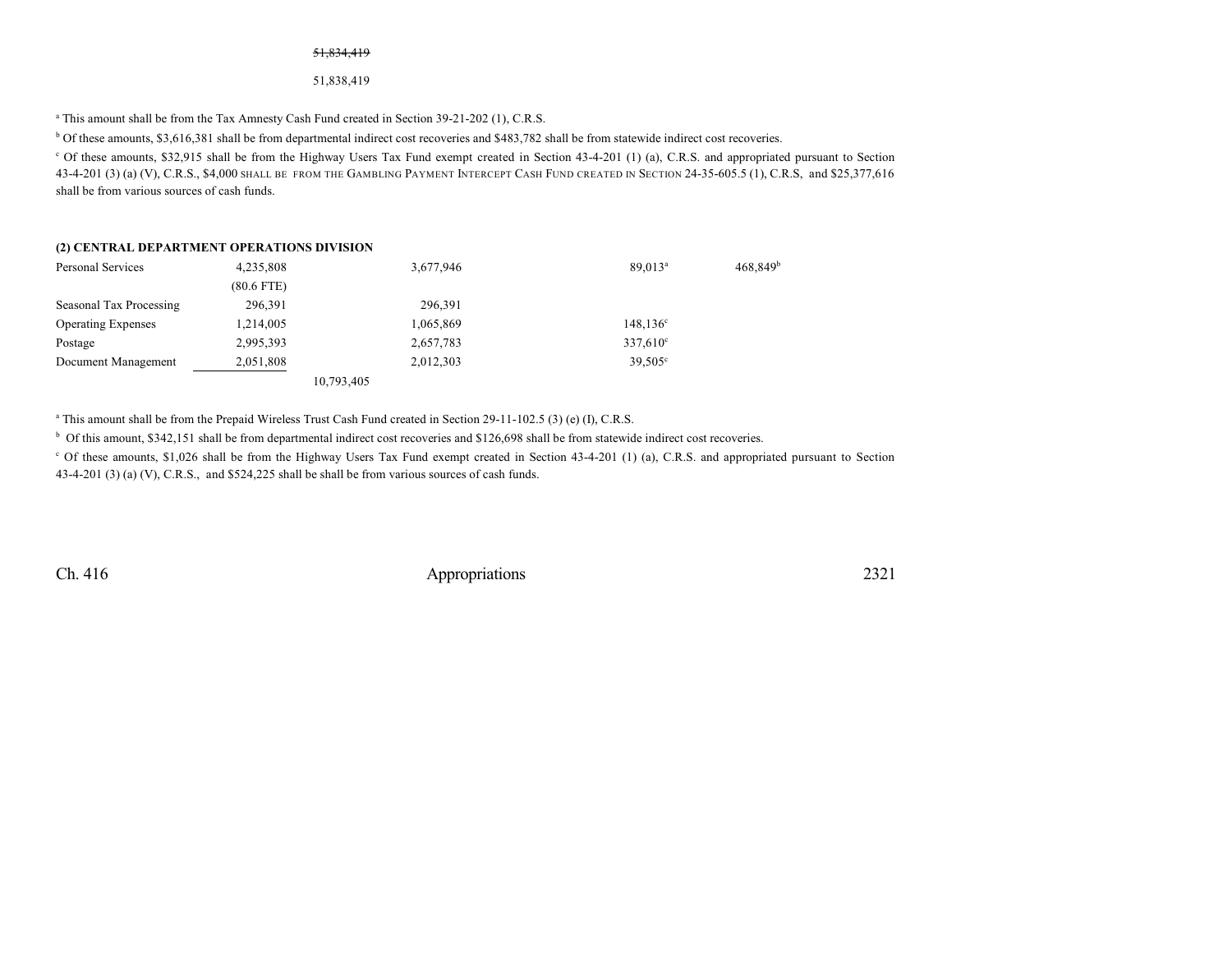#### 51,834,419

#### 51,838,419

<sup>a</sup> This amount shall be from the Tax Amnesty Cash Fund created in Section 39-21-202 (1), C.R.S.

<sup>b</sup> Of these amounts, \$3,616,381 shall be from departmental indirect cost recoveries and \$483,782 shall be from statewide indirect cost recoveries.

<sup>c</sup> Of these amounts, \$32,915 shall be from the Highway Users Tax Fund exempt created in Section 43-4-201 (1) (a), C.R.S. and appropriated pursuant to Section 43-4-201 (3) (a) (V), C.R.S., \$4,000 SHALL BE FROM THE GAMBLING PAYMENT INTERCEPT CASH FUND CREATED IN SECTION 24-35-605.5 (1), C.R.S, and \$25,377,616 shall be from various sources of cash funds.

#### **(2) CENTRAL DEPARTMENT OPERATIONS DIVISION**

| Personal Services         | 4,235,808    | 3,677,946  | 89.013 <sup>a</sup> | $468,849^b$ |
|---------------------------|--------------|------------|---------------------|-------------|
|                           | $(80.6$ FTE) |            |                     |             |
| Seasonal Tax Processing   | 296,391      | 296.391    |                     |             |
| <b>Operating Expenses</b> | 1,214,005    | 1,065,869  | $148, 136^{\circ}$  |             |
| Postage                   | 2,995,393    | 2,657,783  | $337,610^{\circ}$   |             |
| Document Management       | 2,051,808    | 2,012,303  | $39,505^{\circ}$    |             |
|                           |              | 10,793,405 |                     |             |

a This amount shall be from the Prepaid Wireless Trust Cash Fund created in Section 29-11-102.5 (3) (e) (I), C.R.S.

<sup>b</sup> Of this amount, \$342,151 shall be from departmental indirect cost recoveries and \$126,698 shall be from statewide indirect cost recoveries.

<sup>c</sup> Of these amounts, \$1,026 shall be from the Highway Users Tax Fund exempt created in Section 43-4-201 (1) (a), C.R.S. and appropriated pursuant to Section 43-4-201 (3) (a) (V), C.R.S., and \$524,225 shall be shall be from various sources of cash funds.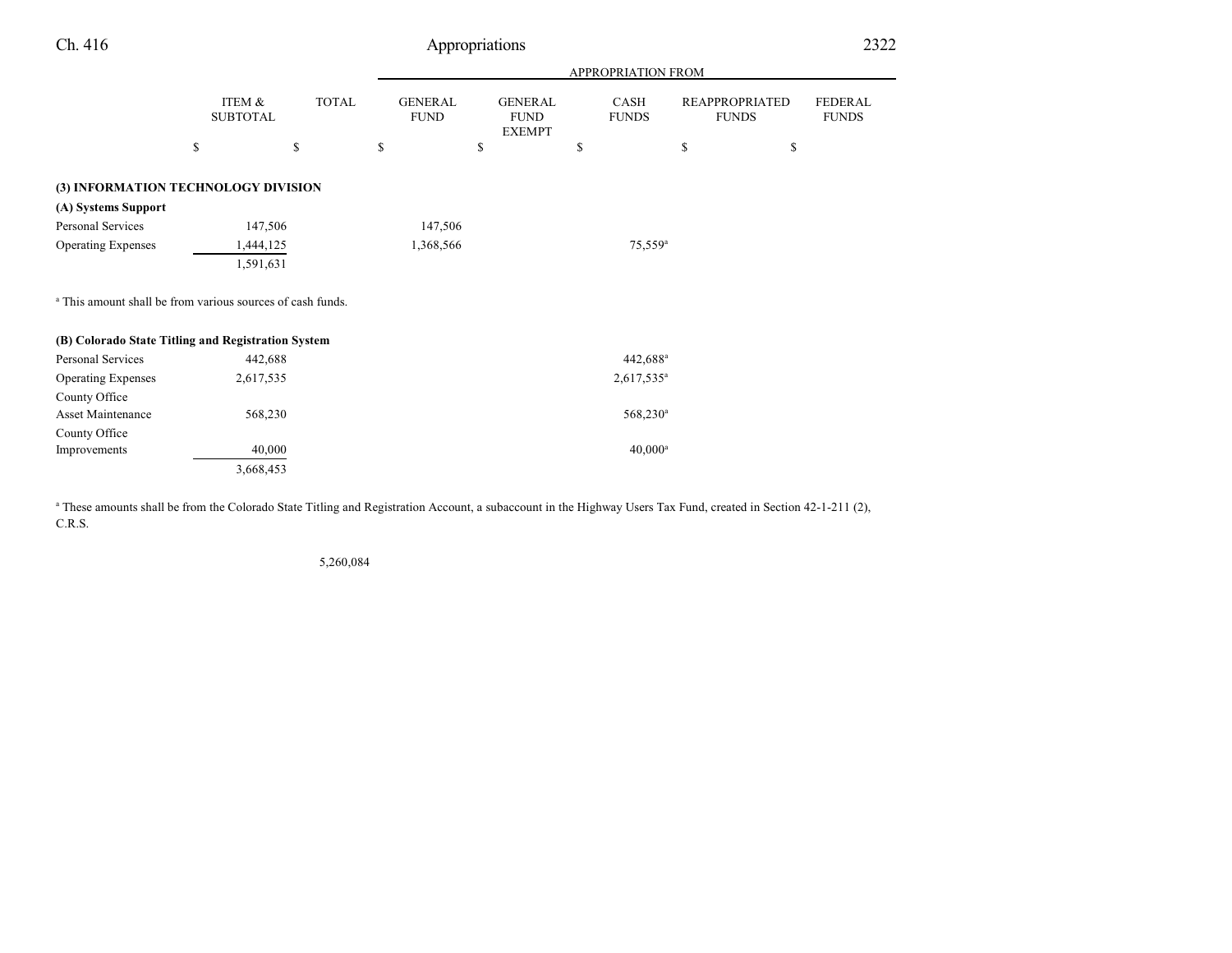| Ch. 416                                                               |                           | Appropriations |                               |                                                |                           |                                       |                                |  |  |  |  |  |  |
|-----------------------------------------------------------------------|---------------------------|----------------|-------------------------------|------------------------------------------------|---------------------------|---------------------------------------|--------------------------------|--|--|--|--|--|--|
|                                                                       |                           |                |                               |                                                | <b>APPROPRIATION FROM</b> |                                       |                                |  |  |  |  |  |  |
|                                                                       | ITEM &<br><b>SUBTOTAL</b> | <b>TOTAL</b>   | <b>GENERAL</b><br><b>FUND</b> | <b>GENERAL</b><br><b>FUND</b><br><b>EXEMPT</b> | CASH<br><b>FUNDS</b>      | <b>REAPPROPRIATED</b><br><b>FUNDS</b> | <b>FEDERAL</b><br><b>FUNDS</b> |  |  |  |  |  |  |
|                                                                       | \$                        | \$             | \$                            | \$                                             | \$                        | \$                                    | \$                             |  |  |  |  |  |  |
| (3) INFORMATION TECHNOLOGY DIVISION                                   |                           |                |                               |                                                |                           |                                       |                                |  |  |  |  |  |  |
| (A) Systems Support                                                   |                           |                |                               |                                                |                           |                                       |                                |  |  |  |  |  |  |
| Personal Services                                                     | 147,506                   |                | 147,506                       |                                                |                           |                                       |                                |  |  |  |  |  |  |
| <b>Operating Expenses</b>                                             | 1,444,125                 |                | 1,368,566                     |                                                | $75,559^{\rm a}$          |                                       |                                |  |  |  |  |  |  |
|                                                                       | 1,591,631                 |                |                               |                                                |                           |                                       |                                |  |  |  |  |  |  |
| <sup>a</sup> This amount shall be from various sources of cash funds. |                           |                |                               |                                                |                           |                                       |                                |  |  |  |  |  |  |
| (B) Colorado State Titling and Registration System                    |                           |                |                               |                                                |                           |                                       |                                |  |  |  |  |  |  |
| Personal Services                                                     | 442,688                   |                |                               |                                                | 442,688 <sup>a</sup>      |                                       |                                |  |  |  |  |  |  |
| <b>Operating Expenses</b>                                             | 2,617,535                 |                |                               |                                                | $2,617,535^a$             |                                       |                                |  |  |  |  |  |  |
| County Office                                                         |                           |                |                               |                                                |                           |                                       |                                |  |  |  |  |  |  |
| Asset Maintenance                                                     | 568,230                   |                |                               |                                                | 568,230 <sup>a</sup>      |                                       |                                |  |  |  |  |  |  |
| County Office                                                         |                           |                |                               |                                                |                           |                                       |                                |  |  |  |  |  |  |
| Improvements                                                          | 40,000                    |                |                               |                                                | $40,000^a$                |                                       |                                |  |  |  |  |  |  |
|                                                                       | 3,668,453                 |                |                               |                                                |                           |                                       |                                |  |  |  |  |  |  |

<sup>a</sup> These amounts shall be from the Colorado State Titling and Registration Account, a subaccount in the Highway Users Tax Fund, created in Section 42-1-211 (2), C.R.S.

5,260,084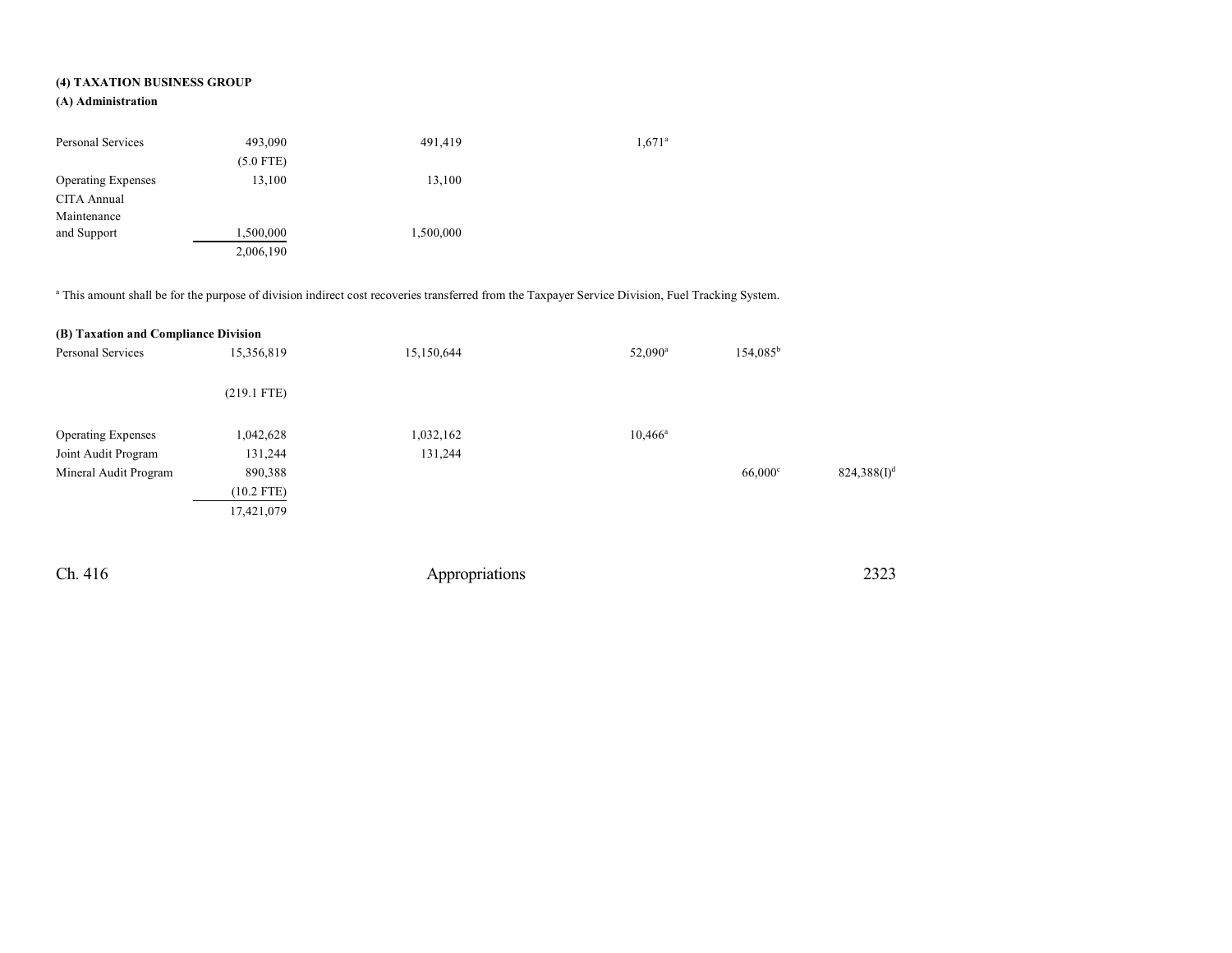### **(4) TAXATION BUSINESS GROUP**

### **(A) Administration**

| Personal Services         | 493,090     | 491,419   | $1,671^{\circ}$ |
|---------------------------|-------------|-----------|-----------------|
|                           | $(5.0$ FTE) |           |                 |
| <b>Operating Expenses</b> | 13,100      | 13,100    |                 |
| CITA Annual               |             |           |                 |
| Maintenance               |             |           |                 |
| and Support               | 1,500,000   | 1,500,000 |                 |
|                           | 2,006,190   |           |                 |

a This amount shall be for the purpose of division indirect cost recoveries transferred from the Taxpayer Service Division, Fuel Tracking System.

| (B) Taxation and Compliance Division |               |            |                  |                      |                |
|--------------------------------------|---------------|------------|------------------|----------------------|----------------|
| 15,356,819<br>Personal Services      |               | 15,150,644 | $52,090^{\rm a}$ | 154,085 <sup>b</sup> |                |
|                                      | $(219.1$ FTE) |            |                  |                      |                |
| <b>Operating Expenses</b>            | 1,042,628     | 1,032,162  | $10,466^{\rm a}$ |                      |                |
| Joint Audit Program                  | 131,244       | 131,244    |                  |                      |                |
| Mineral Audit Program                | 890,388       |            |                  | $66,000$ c           | $824,388(I)^d$ |
|                                      | $(10.2$ FTE)  |            |                  |                      |                |
|                                      | 17,421,079    |            |                  |                      |                |
|                                      |               |            |                  |                      |                |
|                                      |               |            |                  |                      |                |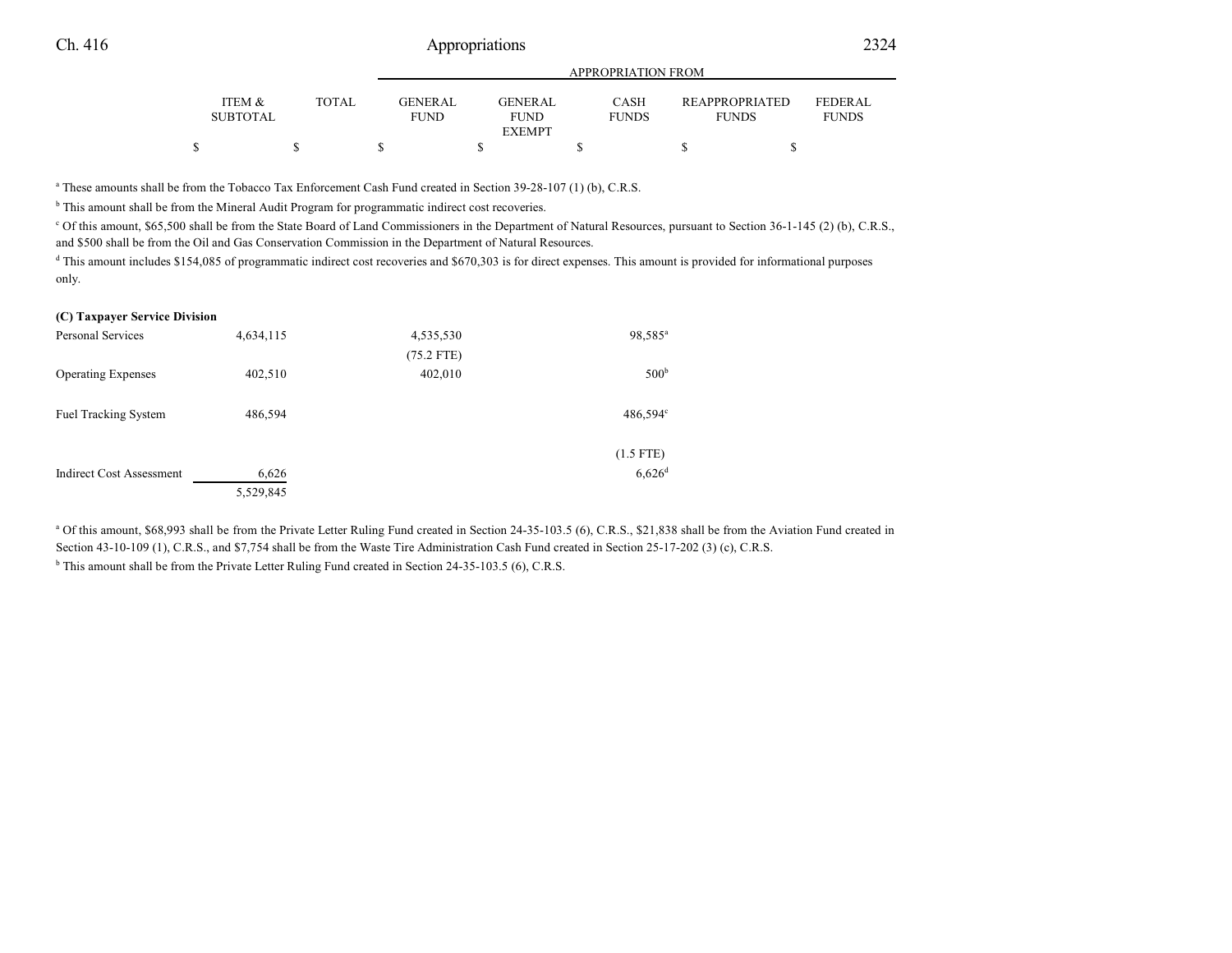|                                      |              | APPROPRIATION FROM            |  |                        |  |                             |  |                                       |                         |  |
|--------------------------------------|--------------|-------------------------------|--|------------------------|--|-----------------------------|--|---------------------------------------|-------------------------|--|
| <b>ITEM &amp;</b><br><b>SUBTOTAL</b> | <b>TOTAL</b> | <b>GENERAL</b><br><b>FUND</b> |  | GENERAL<br><b>FUND</b> |  | <b>CASH</b><br><b>FUNDS</b> |  | <b>REAPPROPRIATED</b><br><b>FUNDS</b> | FEDERAL<br><b>FUNDS</b> |  |
|                                      |              |                               |  | <b>EXEMPT</b>          |  |                             |  |                                       |                         |  |
|                                      |              |                               |  |                        |  |                             |  |                                       |                         |  |

a These amounts shall be from the Tobacco Tax Enforcement Cash Fund created in Section 39-28-107 (1) (b), C.R.S.

<sup>b</sup> This amount shall be from the Mineral Audit Program for programmatic indirect cost recoveries.

<sup>c</sup> Of this amount, \$65,500 shall be from the State Board of Land Commissioners in the Department of Natural Resources, pursuant to Section 36-1-145 (2) (b), C.R.S., and \$500 shall be from the Oil and Gas Conservation Commission in the Department of Natural Resources.

d This amount includes \$154,085 of programmatic indirect cost recoveries and \$670,303 is for direct expenses. This amount is provided for informational purposes only.

#### **(C) Taxpayer Service Division**

| Personal Services               | 4,634,115 | 4,535,530    | 98,585 <sup>a</sup>  |
|---------------------------------|-----------|--------------|----------------------|
|                                 |           | $(75.2$ FTE) |                      |
| <b>Operating Expenses</b>       | 402,510   | 402,010      | 500 <sup>b</sup>     |
|                                 |           |              |                      |
| <b>Fuel Tracking System</b>     | 486,594   |              | $486,594^{\circ}$    |
|                                 |           |              |                      |
|                                 |           |              | $(1.5$ FTE)          |
| <b>Indirect Cost Assessment</b> | 6,626     |              | $6,626$ <sup>d</sup> |
|                                 | 5,529,845 |              |                      |

<sup>a</sup> Of this amount, \$68,993 shall be from the Private Letter Ruling Fund created in Section 24-35-103.5 (6), C.R.S., \$21,838 shall be from the Aviation Fund created in Section 43-10-109 (1), C.R.S., and \$7,754 shall be from the Waste Tire Administration Cash Fund created in Section 25-17-202 (3) (c), C.R.S.

<sup>b</sup> This amount shall be from the Private Letter Ruling Fund created in Section 24-35-103.5 (6), C.R.S.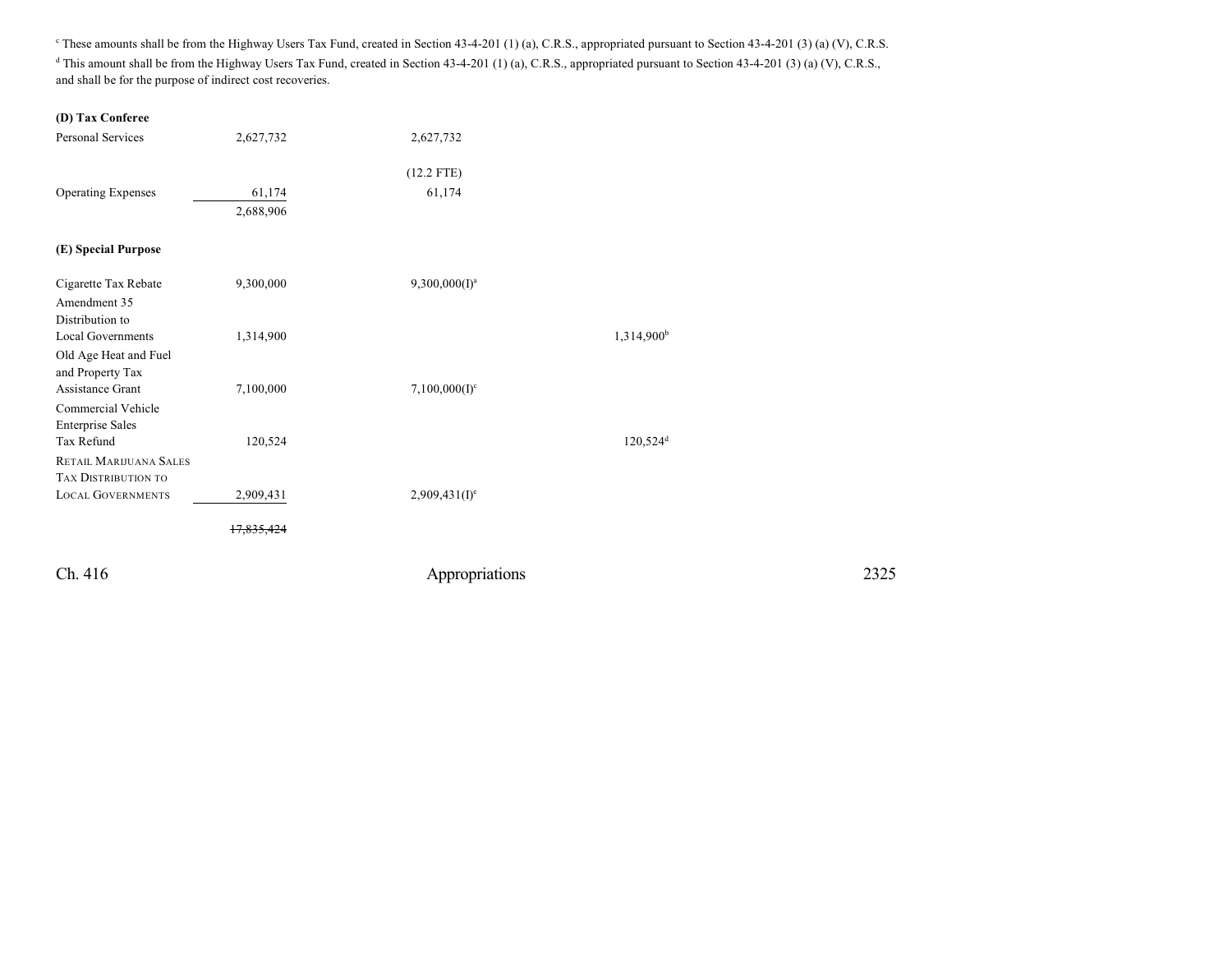These amounts shall be from the Highway Users Tax Fund, created in Section 43-4-201 (1) (a), C.R.S., appropriated pursuant to Section 43-4-201 (3) (a) (V), C.R.S. <sup>d</sup> This amount shall be from the Highway Users Tax Fund, created in Section 43-4-201 (1) (a), C.R.S., appropriated pursuant to Section 43-4-201 (3) (a) (V), C.R.S., and shall be for the purpose of indirect cost recoveries.

| (D) Tax Conferee              |                   |                  |                        |
|-------------------------------|-------------------|------------------|------------------------|
| <b>Personal Services</b>      | 2,627,732         | 2,627,732        |                        |
|                               |                   |                  |                        |
|                               |                   | $(12.2$ FTE)     |                        |
| <b>Operating Expenses</b>     | 61,174            | 61,174           |                        |
|                               | 2,688,906         |                  |                        |
|                               |                   |                  |                        |
| (E) Special Purpose           |                   |                  |                        |
| Cigarette Tax Rebate          | 9,300,000         | $9,300,000(I)^a$ |                        |
| Amendment 35                  |                   |                  |                        |
| Distribution to               |                   |                  |                        |
| <b>Local Governments</b>      | 1,314,900         |                  | 1,314,900 <sup>b</sup> |
| Old Age Heat and Fuel         |                   |                  |                        |
| and Property Tax              |                   |                  |                        |
| <b>Assistance Grant</b>       | 7,100,000         | $7,100,000(I)^c$ |                        |
| Commercial Vehicle            |                   |                  |                        |
| <b>Enterprise Sales</b>       |                   |                  |                        |
| Tax Refund                    | 120,524           |                  | $120,524$ <sup>d</sup> |
| <b>RETAIL MARIJUANA SALES</b> |                   |                  |                        |
| <b>TAX DISTRIBUTION TO</b>    |                   |                  |                        |
| <b>LOCAL GOVERNMENTS</b>      | 2,909,431         | $2,909,431(I)^e$ |                        |
|                               | <del>17.835</del> |                  |                        |
|                               |                   |                  |                        |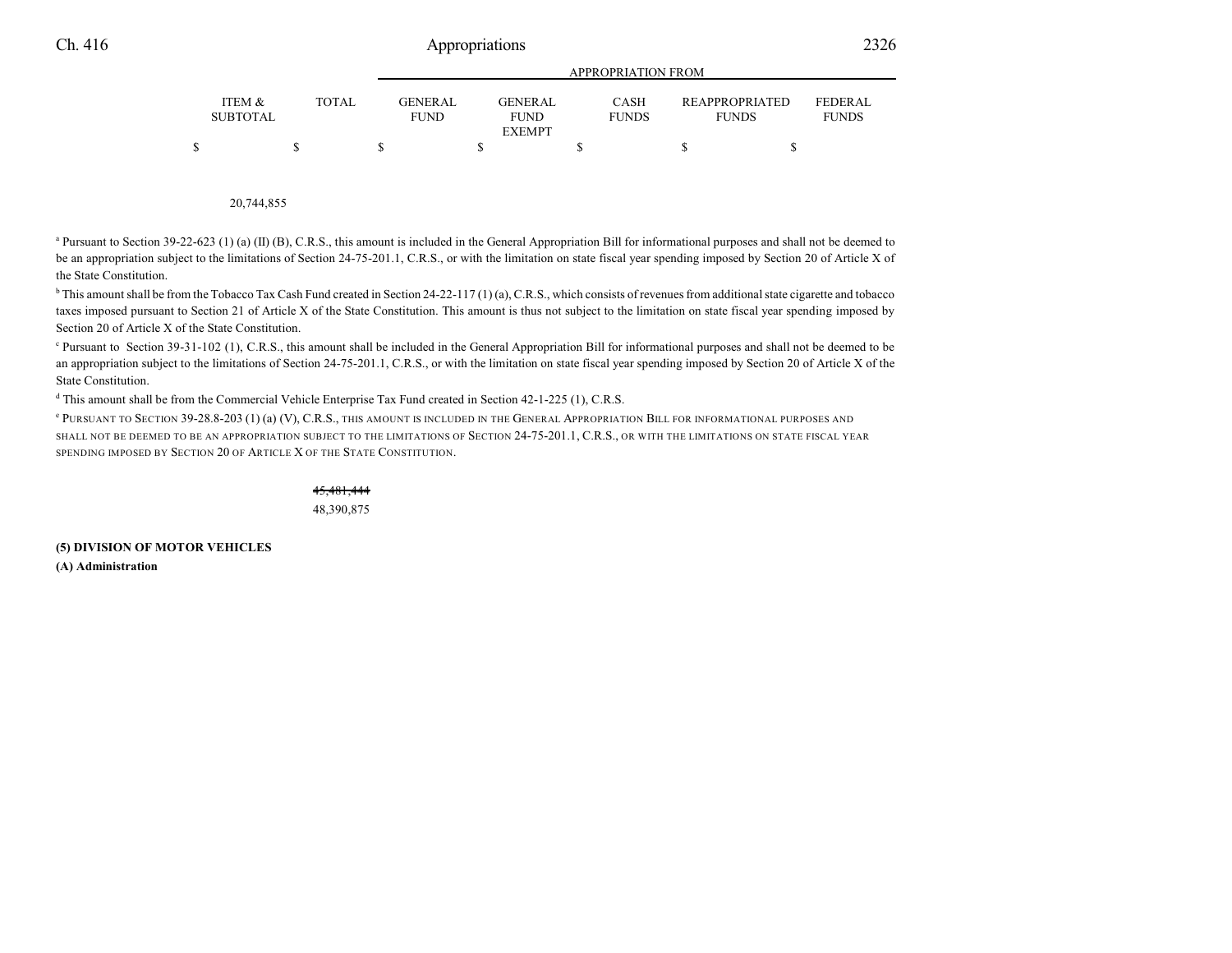|                           |       | APPROPRIATION FROM             |  |                               |  |                             |  |                                       |  |                                |  |
|---------------------------|-------|--------------------------------|--|-------------------------------|--|-----------------------------|--|---------------------------------------|--|--------------------------------|--|
| ITEM &<br><b>SUBTOTAL</b> | TOTAL | <b>GENER AL</b><br><b>FUND</b> |  | <b>GENERAL</b><br><b>FUND</b> |  | <b>CASH</b><br><b>FUNDS</b> |  | <b>REAPPROPRIATED</b><br><b>FUNDS</b> |  | <b>FEDERAL</b><br><b>FUNDS</b> |  |
|                           |       |                                |  | <b>EXEMPT</b>                 |  |                             |  |                                       |  |                                |  |
|                           |       |                                |  |                               |  |                             |  |                                       |  |                                |  |

20,744,855

<sup>a</sup> Pursuant to Section 39-22-623 (1) (a) (II) (B), C.R.S., this amount is included in the General Appropriation Bill for informational purposes and shall not be deemed to be an appropriation subject to the limitations of Section 24-75-201.1, C.R.S., or with the limitation on state fiscal year spending imposed by Section 20 of Article X of the State Constitution.

<sup>b</sup> This amount shall be from the Tobacco Tax Cash Fund created in Section 24-22-117 (1) (a), C.R.S., which consists of revenues from additional state cigarette and tobacco taxes imposed pursuant to Section 21 of Article X of the State Constitution. This amount is thus not subject to the limitation on state fiscal year spending imposed by Section 20 of Article X of the State Constitution.

<sup>c</sup> Pursuant to Section 39-31-102 (1), C.R.S., this amount shall be included in the General Appropriation Bill for informational purposes and shall not be deemed to be an appropriation subject to the limitations of Section 24-75-201.1, C.R.S., or with the limitation on state fiscal year spending imposed by Section 20 of Article X of the State Constitution.

d This amount shall be from the Commercial Vehicle Enterprise Tax Fund created in Section 42-1-225 (1), C.R.S.

 $^\circ$  Pursuant to Section 39-28.8-203 (1) (a) (V), C.R.S., this amount is included in the General Appropriation Bill for informational purposes and SHALL NOT BE DEEMED TO BE AN APPROPRIATION SUBJECT TO THE LIMITATIONS OF SECTION 24-75-201.1, C.R.S., OR WITH THE LIMITATIONS ON STATE FISCAL YEAR SPENDING IMPOSED BY SECTION 20 OF ARTICLE X OF THE STATE CONSTITUTION.

> 45,481,444 48,390,875

**(5) DIVISION OF MOTOR VEHICLES (A) Administration**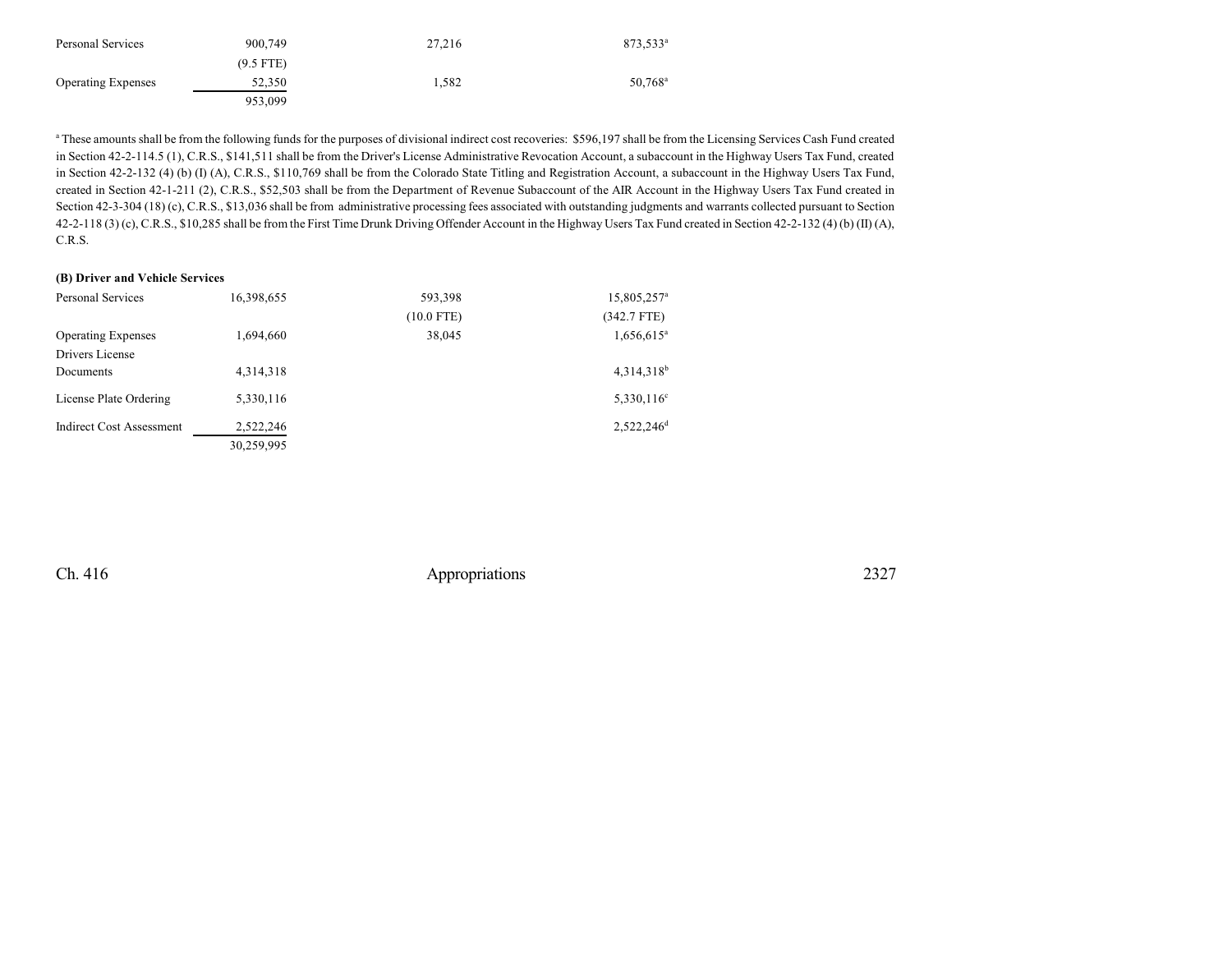| Personal Services         | 900.749     | 27,216 | 873,533 <sup>a</sup> |
|---------------------------|-------------|--------|----------------------|
|                           | $(9.5$ FTE) |        |                      |
| <b>Operating Expenses</b> | 52,350      | 1.582  | 50.768 <sup>a</sup>  |
|                           | 953.099     |        |                      |

<sup>a</sup> These amounts shall be from the following funds for the purposes of divisional indirect cost recoveries: \$596,197 shall be from the Licensing Services Cash Fund created in Section 42-2-114.5 (1), C.R.S., \$141,511 shall be from the Driver's License Administrative Revocation Account, a subaccount in the Highway Users Tax Fund, created in Section 42-2-132 (4) (b) (I) (A), C.R.S., \$110,769 shall be from the Colorado State Titling and Registration Account, a subaccount in the Highway Users Tax Fund, created in Section 42-1-211 (2), C.R.S., \$52,503 shall be from the Department of Revenue Subaccount of the AIR Account in the Highway Users Tax Fund created in Section 42-3-304 (18) (c), C.R.S., \$13,036 shall be from administrative processing fees associated with outstanding judgments and warrants collected pursuant to Section 42-2-118 (3) (c), C.R.S., \$10,285 shall be from the First Time Drunk Driving Offender Account in the Highway Users Tax Fund created in Section 42-2-132 (4) (b) (II) (A), C.R.S.

#### **(B) Driver and Vehicle Services**

| <b>Personal Services</b>        | 16,398,655 | 593,398      | 15,805,257 <sup>a</sup>  |
|---------------------------------|------------|--------------|--------------------------|
|                                 |            | $(10.0$ FTE) | $(342.7$ FTE)            |
| <b>Operating Expenses</b>       | 1,694,660  | 38,045       | $1,656,615$ <sup>a</sup> |
| Drivers License                 |            |              |                          |
| Documents                       | 4,314,318  |              | $4,314,318^b$            |
| License Plate Ordering          | 5,330,116  |              | $5,330,116^{\circ}$      |
| <b>Indirect Cost Assessment</b> | 2.522.246  |              | 2.522.246 <sup>d</sup>   |
|                                 | 30,259,995 |              |                          |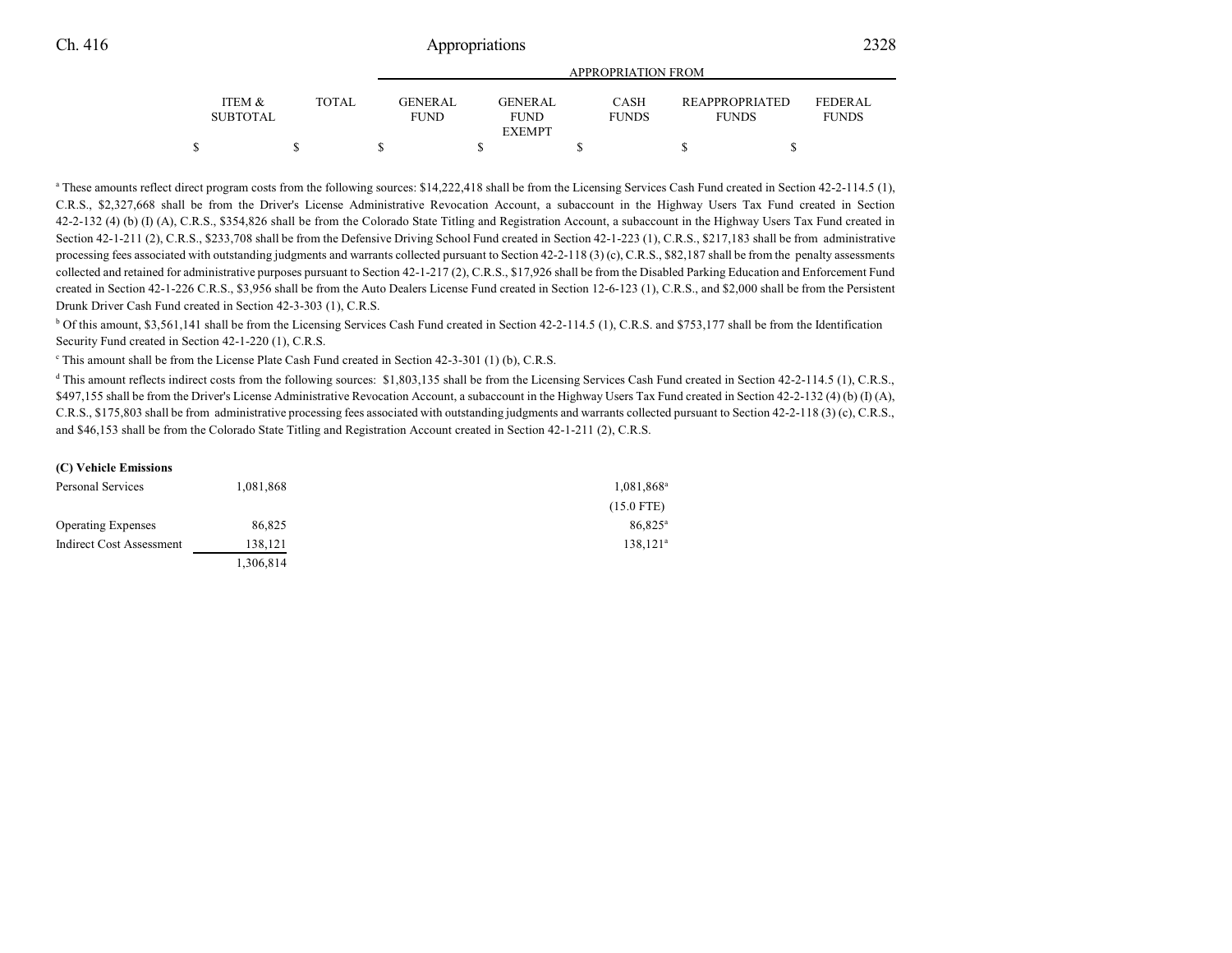|                                      |              | <b>APPROPRIATION FROM</b>     |  |                        |  |                             |  |                                       |  |                         |  |  |
|--------------------------------------|--------------|-------------------------------|--|------------------------|--|-----------------------------|--|---------------------------------------|--|-------------------------|--|--|
| <b>ITEM &amp;</b><br><b>SUBTOTAL</b> | <b>TOTAL</b> | <b>GENERAL</b><br><b>FUND</b> |  | GENERAL<br><b>FUND</b> |  | <b>CASH</b><br><b>FUNDS</b> |  | <b>REAPPROPRIATED</b><br><b>FUNDS</b> |  | FEDERAL<br><b>FUNDS</b> |  |  |
|                                      |              |                               |  | <b>EXEMPT</b>          |  |                             |  |                                       |  |                         |  |  |
|                                      |              |                               |  |                        |  |                             |  |                                       |  |                         |  |  |

<sup>a</sup> These amounts reflect direct program costs from the following sources: \$14,222,418 shall be from the Licensing Services Cash Fund created in Section 42-2-114.5 (1), C.R.S., \$2,327,668 shall be from the Driver's License Administrative Revocation Account, a subaccount in the Highway Users Tax Fund created in Section 42-2-132 (4) (b) (I) (A), C.R.S., \$354,826 shall be from the Colorado State Titling and Registration Account, a subaccount in the Highway Users Tax Fund created in Section 42-1-211 (2), C.R.S., \$233,708 shall be from the Defensive Driving School Fund created in Section 42-1-223 (1), C.R.S., \$217,183 shall be from administrative processing fees associated with outstanding judgments and warrants collected pursuant to Section 42-2-118 (3) (c), C.R.S., \$82,187 shall be from the penalty assessments collected and retained for administrative purposes pursuant to Section 42-1-217 (2), C.R.S., \$17,926 shall be from the Disabled Parking Education and Enforcement Fund created in Section 42-1-226 C.R.S., \$3,956 shall be from the Auto Dealers License Fund created in Section 12-6-123 (1), C.R.S., and \$2,000 shall be from the Persistent Drunk Driver Cash Fund created in Section 42-3-303 (1), C.R.S.

<sup>b</sup> Of this amount, \$3,561,141 shall be from the Licensing Services Cash Fund created in Section 42-2-114.5 (1), C.R.S. and \$753,177 shall be from the Identification Security Fund created in Section 42-1-220 (1), C.R.S.

<sup>c</sup> This amount shall be from the License Plate Cash Fund created in Section 42-3-301 (1) (b), C.R.S.

<sup>d</sup> This amount reflects indirect costs from the following sources: \$1,803,135 shall be from the Licensing Services Cash Fund created in Section 42-2-114.5 (1), C.R.S., \$497,155 shall be from the Driver's License Administrative Revocation Account, a subaccount in the Highway Users Tax Fund created in Section 42-2-132 (4) (b) (I) (A), C.R.S., \$175,803 shall be from administrative processing fees associated with outstanding judgments and warrants collected pursuant to Section 42-2-118 (3) (c), C.R.S., and \$46,153 shall be from the Colorado State Titling and Registration Account created in Section 42-1-211 (2), C.R.S.

#### **(C) Vehicle Emissions**

| Personal Services         | 1,081,868 | 1,081,868 <sup>a</sup> |
|---------------------------|-----------|------------------------|
|                           |           | $(15.0$ FTE)           |
| <b>Operating Expenses</b> | 86,825    | $86,825^{\rm a}$       |
| Indirect Cost Assessment  | 138,121   | $138,121^a$            |
|                           | 1,306,814 |                        |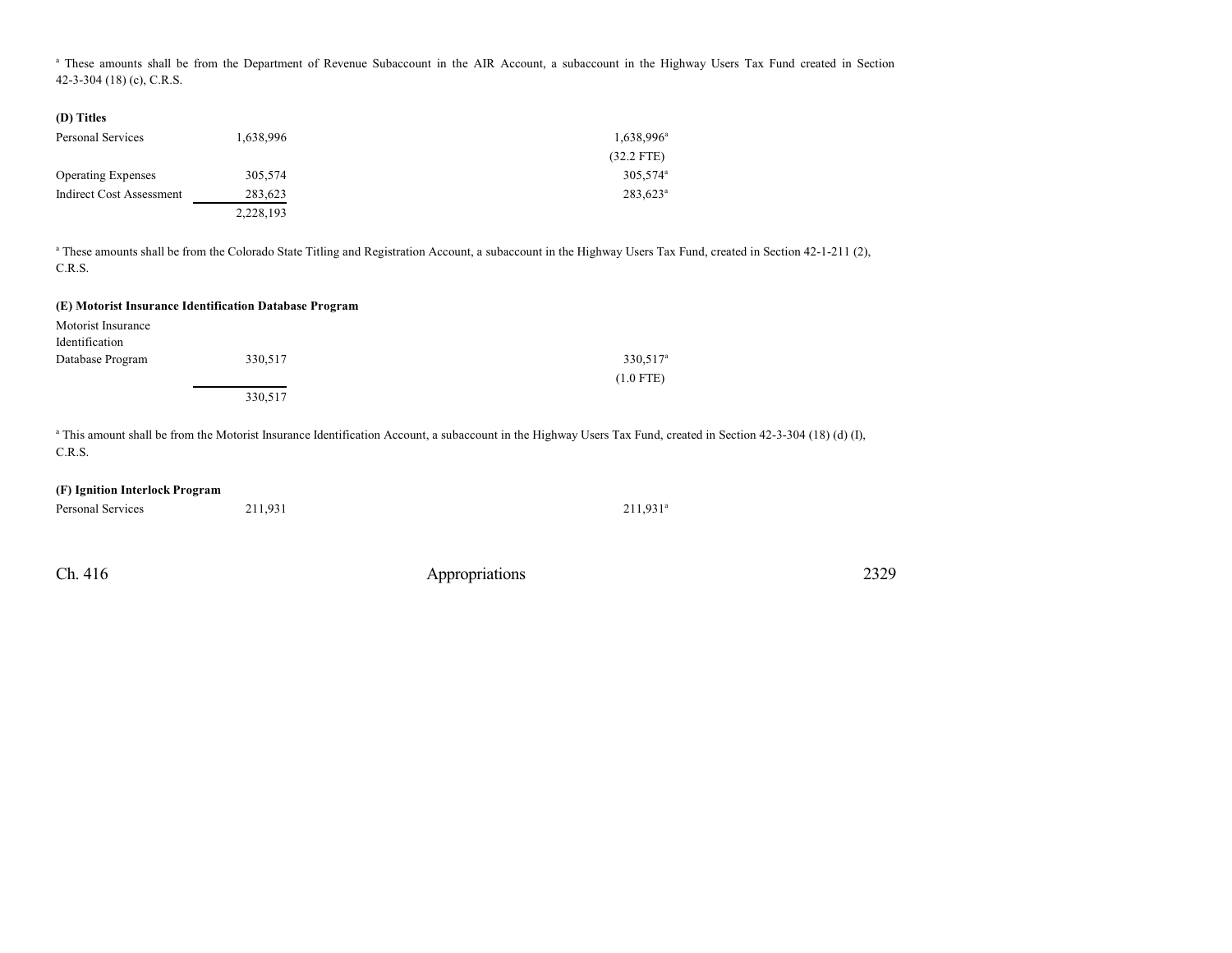<sup>a</sup> These amounts shall be from the Department of Revenue Subaccount in the AIR Account, a subaccount in the Highway Users Tax Fund created in Section 42-3-304 (18) (c), C.R.S.

| (D) Titles                      |           |                        |
|---------------------------------|-----------|------------------------|
| Personal Services               | 1,638,996 | 1,638,996 <sup>a</sup> |
|                                 |           | $(32.2$ FTE)           |
| <b>Operating Expenses</b>       | 305,574   | 305,574 <sup>a</sup>   |
| <b>Indirect Cost Assessment</b> | 283,623   | $283,623^a$            |
|                                 | 2,228,193 |                        |

<sup>a</sup> These amounts shall be from the Colorado State Titling and Registration Account, a subaccount in the Highway Users Tax Fund, created in Section 42-1-211 (2), C.R.S.

#### **(E) Motorist Insurance Identification Database Program**

| Motorist Insurance |         |                      |
|--------------------|---------|----------------------|
| Identification     |         |                      |
| Database Program   | 330,517 | 330,517 <sup>a</sup> |
|                    |         | $(1.0$ FTE)          |
|                    | 330,517 |                      |

<sup>a</sup> This amount shall be from the Motorist Insurance Identification Account, a subaccount in the Highway Users Tax Fund, created in Section 42-3-304 (18) (d) (I), C.R.S.

#### **(F) Ignition Interlock Program**

| Personal Services | 211,931 | $211,931^a$ |
|-------------------|---------|-------------|
|                   |         |             |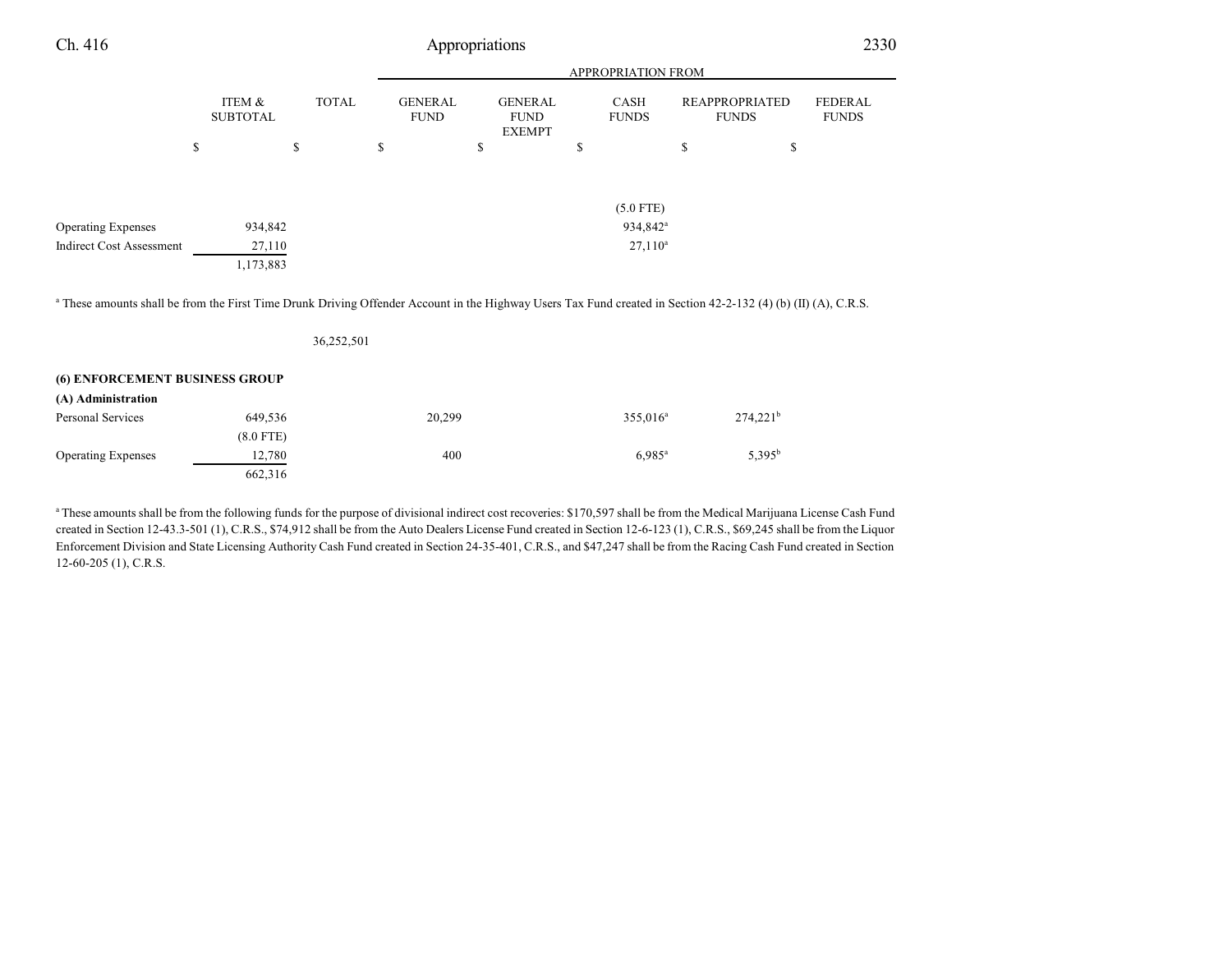| Ch. 416                                                                                                                                                                   |    |                           |    |              | Appropriations                |                                                |                      |    |                                       | 2330                           |
|---------------------------------------------------------------------------------------------------------------------------------------------------------------------------|----|---------------------------|----|--------------|-------------------------------|------------------------------------------------|----------------------|----|---------------------------------------|--------------------------------|
|                                                                                                                                                                           |    |                           |    |              |                               | APPROPRIATION FROM                             |                      |    |                                       |                                |
|                                                                                                                                                                           |    | ITEM &<br><b>SUBTOTAL</b> |    | <b>TOTAL</b> | <b>GENERAL</b><br><b>FUND</b> | <b>GENERAL</b><br><b>FUND</b><br><b>EXEMPT</b> | CASH<br><b>FUNDS</b> |    | <b>REAPPROPRIATED</b><br><b>FUNDS</b> | <b>FEDERAL</b><br><b>FUNDS</b> |
|                                                                                                                                                                           | \$ |                           | \$ | \$           |                               | \$                                             | \$                   | \$ | \$                                    |                                |
|                                                                                                                                                                           |    |                           |    |              |                               |                                                | $(5.0$ FTE)          |    |                                       |                                |
| <b>Operating Expenses</b>                                                                                                                                                 |    | 934,842                   |    |              |                               |                                                | 934,842 <sup>a</sup> |    |                                       |                                |
| <b>Indirect Cost Assessment</b>                                                                                                                                           |    | 27,110<br>1,173,883       |    |              |                               |                                                | $27,110^a$           |    |                                       |                                |
| <sup>a</sup> These amounts shall be from the First Time Drunk Driving Offender Account in the Highway Users Tax Fund created in Section 42-2-132 (4) (b) (II) (A), C.R.S. |    |                           |    |              |                               |                                                |                      |    |                                       |                                |
|                                                                                                                                                                           |    |                           |    | 36,252,501   |                               |                                                |                      |    |                                       |                                |
| (6) ENFORCEMENT BUSINESS GROUP                                                                                                                                            |    |                           |    |              |                               |                                                |                      |    |                                       |                                |
|                                                                                                                                                                           |    |                           |    |              |                               |                                                |                      |    |                                       |                                |

| (A) Administration        |             |        |                      |             |
|---------------------------|-------------|--------|----------------------|-------------|
| Personal Services         | 649.536     | 20,299 | $355.016^a$          | $274,221^b$ |
|                           | $(8.0$ FTE) |        |                      |             |
| <b>Operating Expenses</b> | 12,780      | 400    | $6.985$ <sup>a</sup> | $5.395^{b}$ |
|                           | 662,316     |        |                      |             |

<sup>a</sup> These amounts shall be from the following funds for the purpose of divisional indirect cost recoveries: \$170,597 shall be from the Medical Marijuana License Cash Fund created in Section 12-43.3-501 (1), C.R.S., \$74,912 shall be from the Auto Dealers License Fund created in Section 12-6-123 (1), C.R.S., \$69,245 shall be from the Liquor Enforcement Division and State Licensing Authority Cash Fund created in Section 24-35-401, C.R.S., and \$47,247 shall be from the Racing Cash Fund created in Section 12-60-205 (1), C.R.S.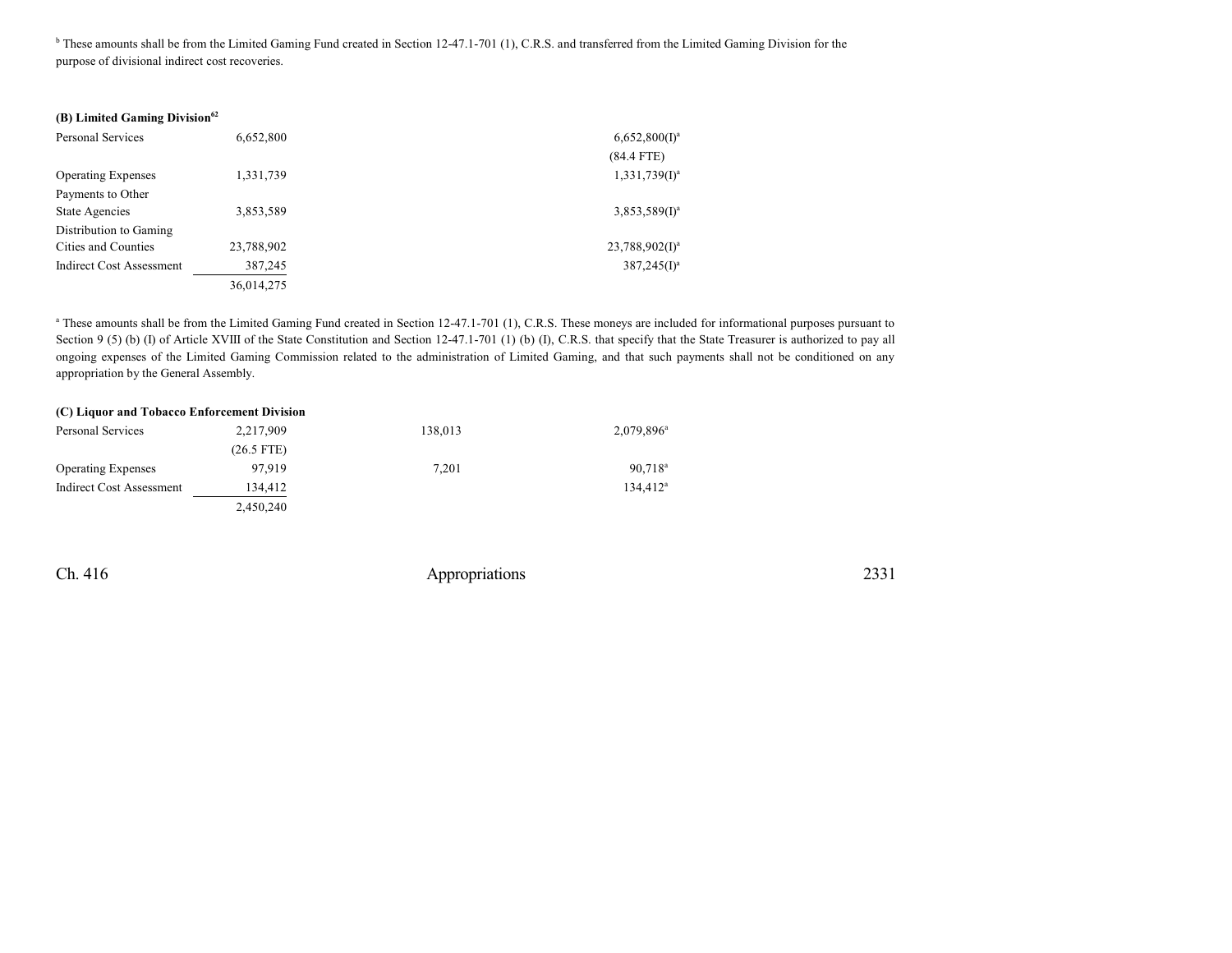<sup>b</sup> These amounts shall be from the Limited Gaming Fund created in Section 12-47.1-701 (1), C.R.S. and transferred from the Limited Gaming Division for the purpose of divisional indirect cost recoveries.

#### **(B) Limited Gaming Division 62**

| Personal Services               | 6,652,800  | $6,652,800(1)^a$  |
|---------------------------------|------------|-------------------|
|                                 |            | $(84.4$ FTE)      |
| <b>Operating Expenses</b>       | 1,331,739  | $1,331,739(I)^a$  |
| Payments to Other               |            |                   |
| State Agencies                  | 3,853,589  | $3,853,589(1)^a$  |
| Distribution to Gaming          |            |                   |
| Cities and Counties             | 23,788,902 | $23,788,902(1)^a$ |
| <b>Indirect Cost Assessment</b> | 387,245    | $387,245(I)^a$    |
|                                 | 36,014,275 |                   |

<sup>a</sup> These amounts shall be from the Limited Gaming Fund created in Section 12-47.1-701 (1), C.R.S. These moneys are included for informational purposes pursuant to Section 9 (5) (b) (I) of Article XVIII of the State Constitution and Section 12-47.1-701 (1) (b) (I), C.R.S. that specify that the State Treasurer is authorized to pay all ongoing expenses of the Limited Gaming Commission related to the administration of Limited Gaming, and that such payments shall not be conditioned on any appropriation by the General Assembly.

#### **(C) Liquor and Tobacco Enforcement Division**

| Personal Services         | 2,217,909    | 138,013 | 2,079,896 <sup>a</sup> |
|---------------------------|--------------|---------|------------------------|
|                           | $(26.5$ FTE) |         |                        |
| <b>Operating Expenses</b> | 97.919       | 7,201   | $90.718^{\circ}$       |
| Indirect Cost Assessment  | 134.412      |         | $134.412^a$            |
|                           | 2,450,240    |         |                        |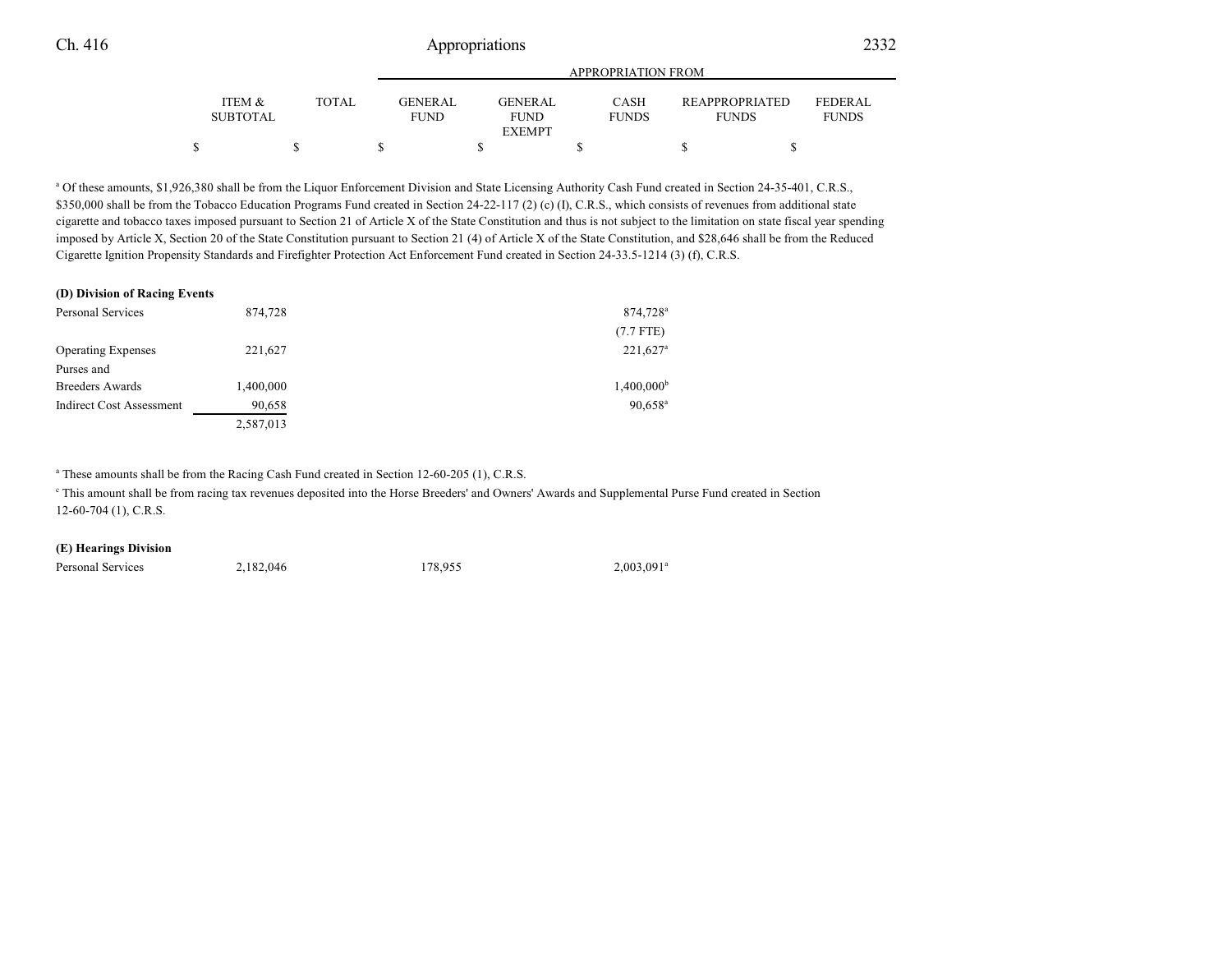|                           |              | APPROPRIATION FROM            |  |                               |  |                      |  |                                |  |                                |  |
|---------------------------|--------------|-------------------------------|--|-------------------------------|--|----------------------|--|--------------------------------|--|--------------------------------|--|
| ITEM &<br><b>SUBTOTAL</b> | <b>TOTAL</b> | <b>GENERAL</b><br><b>FUND</b> |  | <b>GENERAL</b><br><b>FUND</b> |  | CASH<br><b>FUNDS</b> |  | REAPPROPRIATED<br><b>FUNDS</b> |  | <b>FEDERAL</b><br><b>FUNDS</b> |  |
|                           |              |                               |  | <b>EXEMPT</b>                 |  |                      |  |                                |  |                                |  |
|                           |              |                               |  |                               |  |                      |  |                                |  |                                |  |

<sup>a</sup> Of these amounts, \$1,926,380 shall be from the Liquor Enforcement Division and State Licensing Authority Cash Fund created in Section 24-35-401, C.R.S., \$350,000 shall be from the Tobacco Education Programs Fund created in Section 24-22-117 (2) (c) (I), C.R.S., which consists of revenues from additional state cigarette and tobacco taxes imposed pursuant to Section 21 of Article X of the State Constitution and thus is not subject to the limitation on state fiscal year spending imposed by Article X, Section 20 of the State Constitution pursuant to Section 21 (4) of Article X of the State Constitution, and \$28,646 shall be from the Reduced Cigarette Ignition Propensity Standards and Firefighter Protection Act Enforcement Fund created in Section 24-33.5-1214 (3) (f), C.R.S.

#### **(D) Division of Racing Events**

| Personal Services               | 874,728   | 874,728 <sup>a</sup>   |
|---------------------------------|-----------|------------------------|
|                                 |           | $(7.7$ FTE)            |
| <b>Operating Expenses</b>       | 221,627   | $221,627$ <sup>a</sup> |
| Purses and                      |           |                        |
| <b>Breeders Awards</b>          | 1,400,000 | $1,400,000^{\rm b}$    |
| <b>Indirect Cost Assessment</b> | 90,658    | $90,658^{\rm a}$       |
|                                 | 2,587,013 |                        |

<sup>a</sup> These amounts shall be from the Racing Cash Fund created in Section 12-60-205 (1), C.R.S.

This amount shall be from racing tax revenues deposited into the Horse Breeders' and Owners' Awards and Supplemental Purse Fund created in Section 12-60-704 (1), C.R.S.

#### **(E) Hearings Division**

Personal Services 2,182,046 178,955  $2,003,091^a$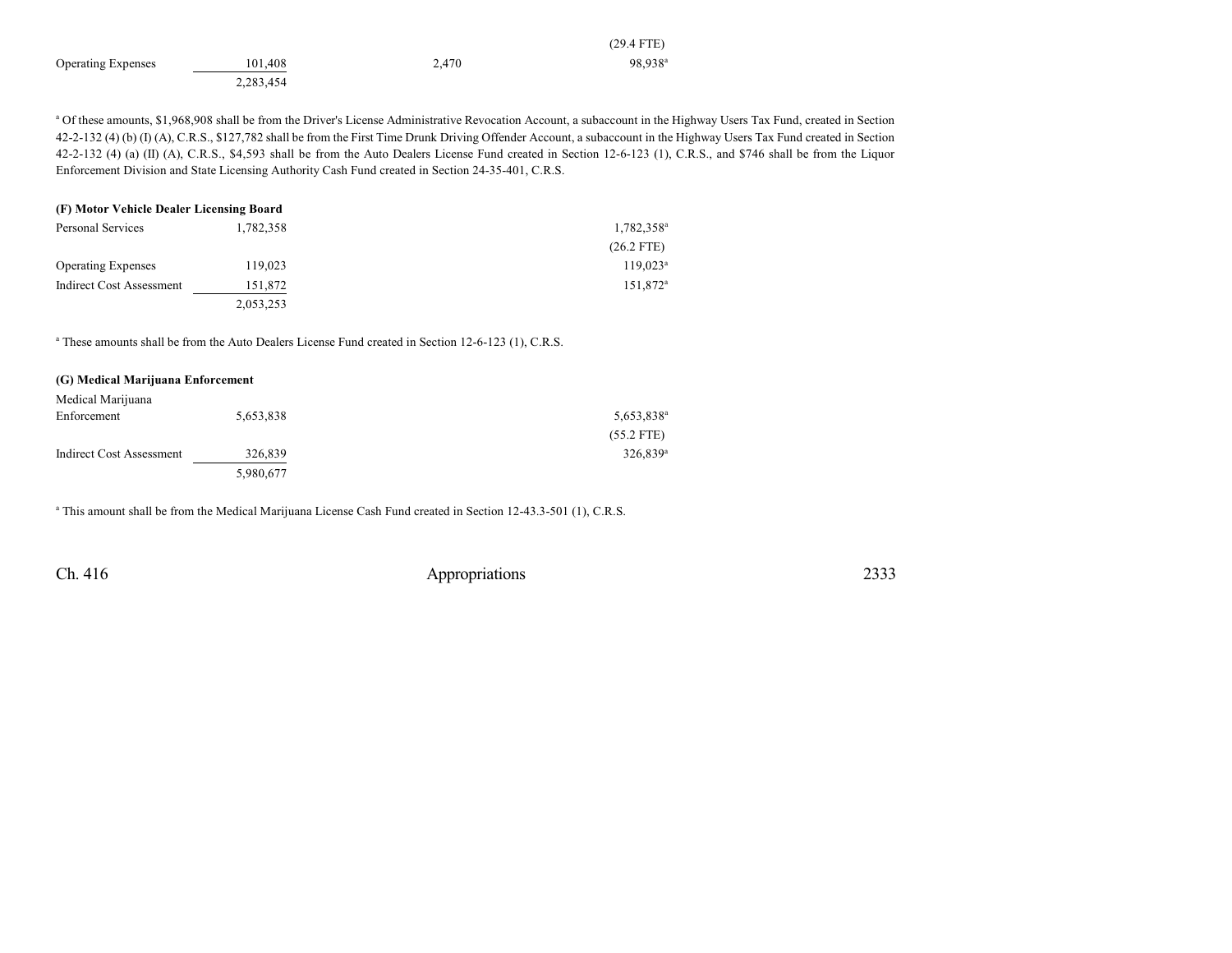|                           |           |       | $(29.4$ FTE)        |
|---------------------------|-----------|-------|---------------------|
| <b>Operating Expenses</b> | 101.408   | 2,470 | 98.938 <sup>a</sup> |
|                           | 2,283,454 |       |                     |

a Of these amounts, \$1,968,908 shall be from the Driver's License Administrative Revocation Account, a subaccount in the Highway Users Tax Fund, created in Section 42-2-132 (4) (b) (I) (A), C.R.S., \$127,782 shall be from the First Time Drunk Driving Offender Account, a subaccount in the Highway Users Tax Fund created in Section 42-2-132 (4) (a) (II) (A), C.R.S., \$4,593 shall be from the Auto Dealers License Fund created in Section 12-6-123 (1), C.R.S., and \$746 shall be from the Liquor Enforcement Division and State Licensing Authority Cash Fund created in Section 24-35-401, C.R.S.

| (F) Motor Vehicle Dealer Licensing Board |           |                        |  |  |  |
|------------------------------------------|-----------|------------------------|--|--|--|
| Personal Services                        | 1,782,358 | 1,782,358 <sup>a</sup> |  |  |  |
|                                          |           | $(26.2$ FTE)           |  |  |  |
| <b>Operating Expenses</b>                | 119,023   | $119,023^a$            |  |  |  |
| <b>Indirect Cost Assessment</b>          | 151,872   | 151,872 <sup>a</sup>   |  |  |  |
|                                          | 2,053,253 |                        |  |  |  |

<sup>a</sup> These amounts shall be from the Auto Dealers License Fund created in Section 12-6-123 (1), C.R.S.

#### **(G) Medical Marijuana Enforcement**

| Medical Marijuana               |           |                        |
|---------------------------------|-----------|------------------------|
| Enforcement                     | 5,653,838 | 5,653,838 <sup>a</sup> |
|                                 |           | $(55.2$ FTE)           |
| <b>Indirect Cost Assessment</b> | 326,839   | $326.839$ <sup>a</sup> |
|                                 | 5,980,677 |                        |

a This amount shall be from the Medical Marijuana License Cash Fund created in Section 12-43.3-501 (1), C.R.S.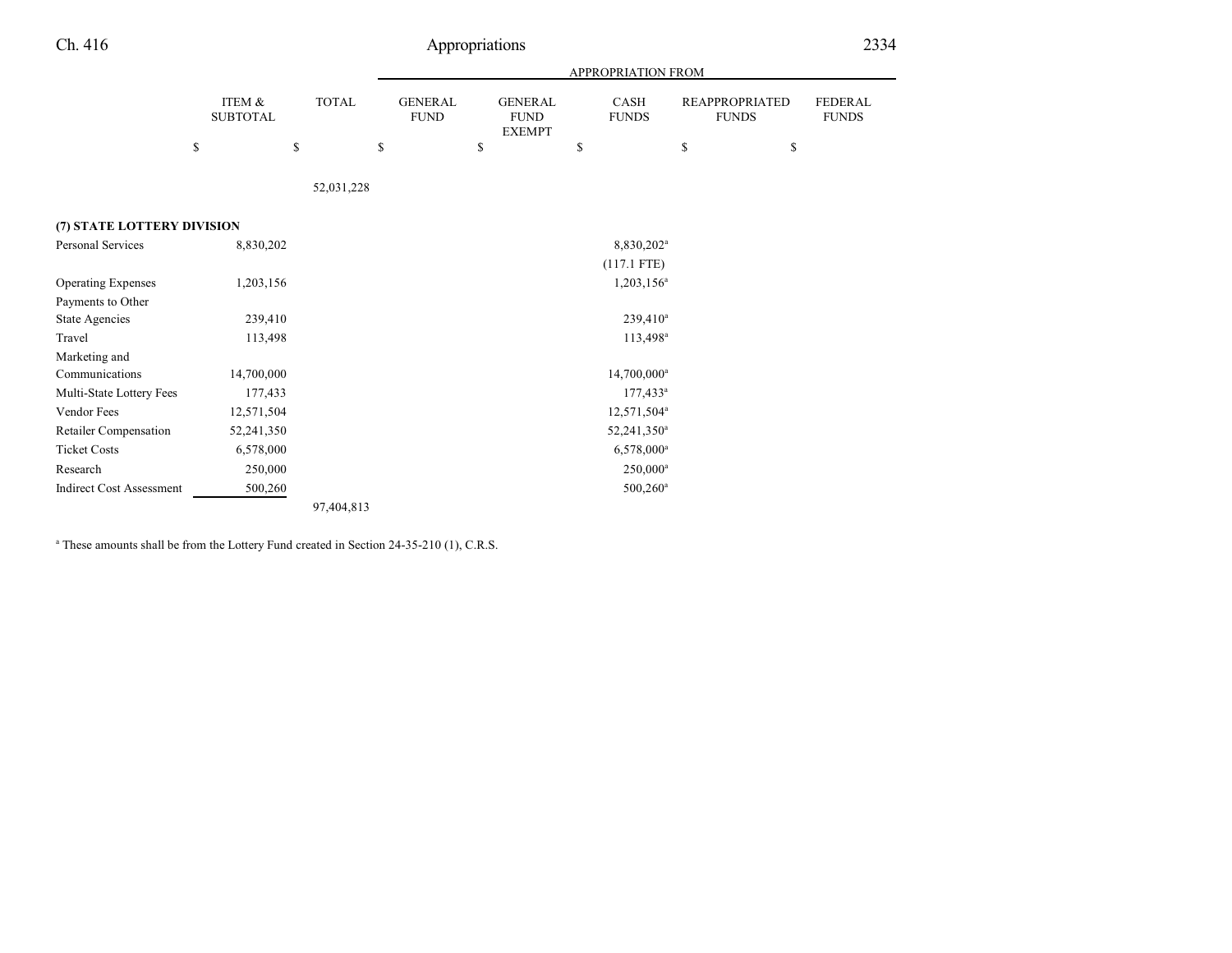| Ch. 416                         |                           |                    |              | Appropriations                |    |                                                |    |                         |               |                                       | 2334                           |
|---------------------------------|---------------------------|--------------------|--------------|-------------------------------|----|------------------------------------------------|----|-------------------------|---------------|---------------------------------------|--------------------------------|
|                                 |                           | APPROPRIATION FROM |              |                               |    |                                                |    |                         |               |                                       |                                |
|                                 | ITEM &<br><b>SUBTOTAL</b> |                    | <b>TOTAL</b> | <b>GENERAL</b><br><b>FUND</b> |    | <b>GENERAL</b><br><b>FUND</b><br><b>EXEMPT</b> |    | CASH<br><b>FUNDS</b>    |               | <b>REAPPROPRIATED</b><br><b>FUNDS</b> | <b>FEDERAL</b><br><b>FUNDS</b> |
|                                 | ${\mathbb S}$             | \$                 | \$           |                               | \$ |                                                | \$ |                         | ${\mathbb S}$ | \$                                    |                                |
|                                 |                           |                    | 52,031,228   |                               |    |                                                |    |                         |               |                                       |                                |
| (7) STATE LOTTERY DIVISION      |                           |                    |              |                               |    |                                                |    |                         |               |                                       |                                |
| <b>Personal Services</b>        | 8,830,202                 |                    |              |                               |    |                                                |    | 8,830,202 <sup>a</sup>  |               |                                       |                                |
|                                 |                           |                    |              |                               |    |                                                |    | $(117.1$ FTE)           |               |                                       |                                |
| <b>Operating Expenses</b>       | 1,203,156                 |                    |              |                               |    |                                                |    | 1,203,156 <sup>a</sup>  |               |                                       |                                |
| Payments to Other               |                           |                    |              |                               |    |                                                |    |                         |               |                                       |                                |
| State Agencies                  | 239,410                   |                    |              |                               |    |                                                |    | 239,410 <sup>a</sup>    |               |                                       |                                |
| Travel                          | 113,498                   |                    |              |                               |    |                                                |    | $113,498^a$             |               |                                       |                                |
| Marketing and                   |                           |                    |              |                               |    |                                                |    |                         |               |                                       |                                |
| Communications                  | 14,700,000                |                    |              |                               |    |                                                |    | 14,700,000 <sup>a</sup> |               |                                       |                                |
| Multi-State Lottery Fees        | 177,433                   |                    |              |                               |    |                                                |    | $177,433^a$             |               |                                       |                                |
| Vendor Fees                     | 12,571,504                |                    |              |                               |    |                                                |    | 12,571,504 <sup>a</sup> |               |                                       |                                |
| Retailer Compensation           | 52,241,350                |                    |              |                               |    |                                                |    | 52,241,350 <sup>a</sup> |               |                                       |                                |
| <b>Ticket Costs</b>             | 6,578,000                 |                    |              |                               |    |                                                |    | $6,578,000^a$           |               |                                       |                                |
| Research                        | 250,000                   |                    |              |                               |    |                                                |    | 250,000 <sup>a</sup>    |               |                                       |                                |
| <b>Indirect Cost Assessment</b> | 500,260                   |                    |              |                               |    |                                                |    | 500,260 <sup>a</sup>    |               |                                       |                                |

97,404,813

<sup>a</sup> These amounts shall be from the Lottery Fund created in Section 24-35-210 (1), C.R.S.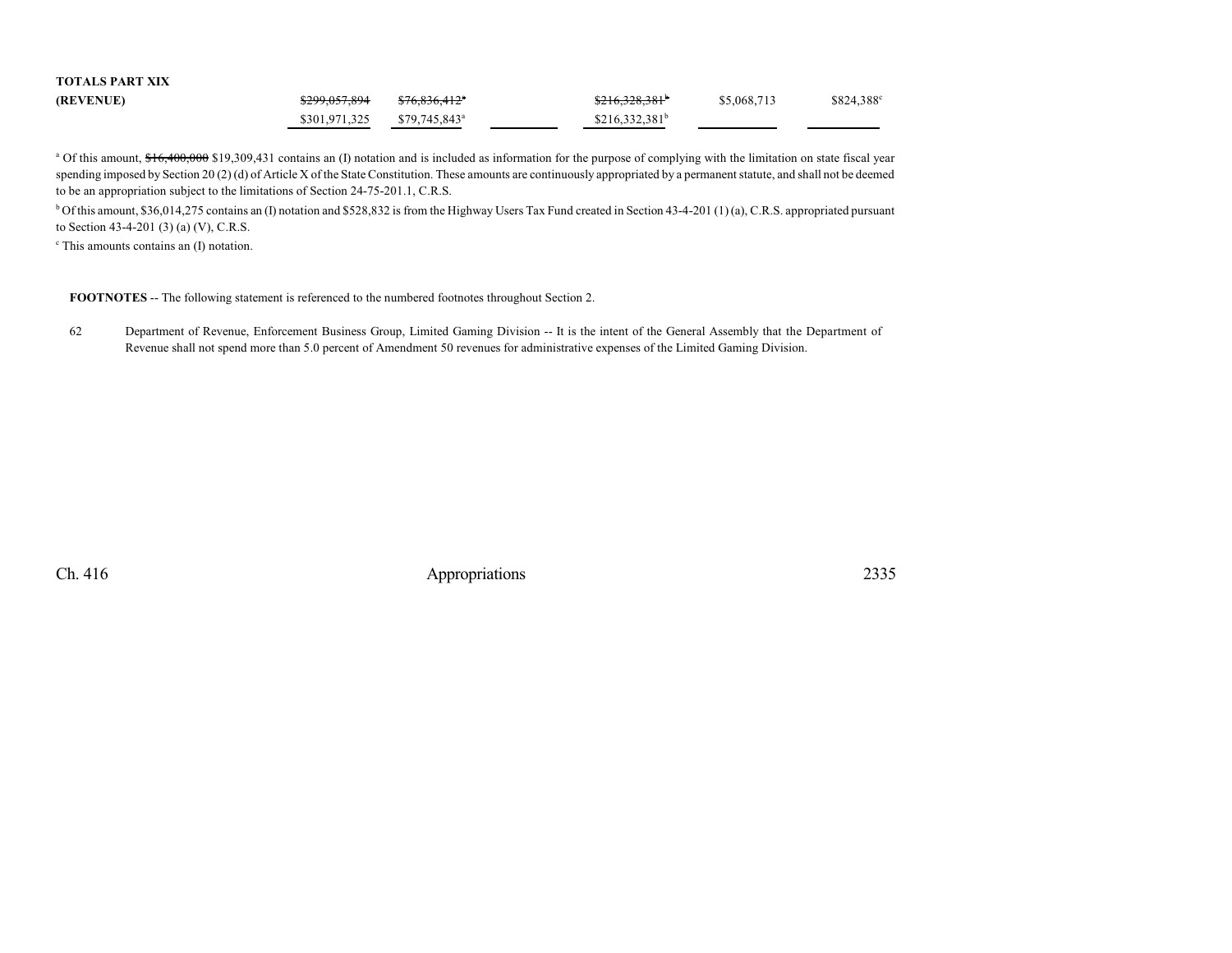| TUTALƏ PAKI AIA |               |                            |                             |             |            |
|-----------------|---------------|----------------------------|-----------------------------|-------------|------------|
| (REVENUE)       | \$299.057.894 | <del>\$76.836.412</del> *  | $$216,328,381$ <sup>b</sup> | \$5,068,713 | \$824,388° |
|                 | \$301.971.325 | $$79.745.843$ <sup>a</sup> | $$216,332,381^b$            |             |            |

<sup>a</sup> Of this amount, \$16,400,000 \$19,309,431 contains an (I) notation and is included as information for the purpose of complying with the limitation on state fiscal year spending imposed by Section 20 (2) (d) of Article X of the State Constitution. These amounts are continuously appropriated by a permanent statute, and shall not be deemed to be an appropriation subject to the limitations of Section 24-75-201.1, C.R.S.

<sup>b</sup> Of this amount, \$36,014,275 contains an (I) notation and \$528,832 is from the Highway Users Tax Fund created in Section 43-4-201 (1) (a), C.R.S. appropriated pursuant to Section 43-4-201 (3) (a) (V), C.R.S.

c This amounts contains an (I) notation.

**TOTALS PART XIX**

**FOOTNOTES** -- The following statement is referenced to the numbered footnotes throughout Section 2.

62 Department of Revenue, Enforcement Business Group, Limited Gaming Division -- It is the intent of the General Assembly that the Department of Revenue shall not spend more than 5.0 percent of Amendment 50 revenues for administrative expenses of the Limited Gaming Division.